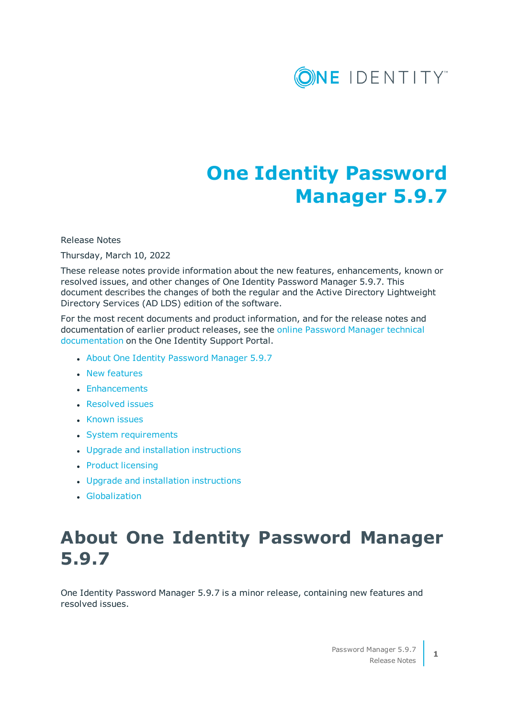

# **One Identity Password Manager 5.9.7**

#### Release Notes

Thursday, March 10, 2022

These release notes provide information about the new features, enhancements, known or resolved issues, and other changes of One Identity Password Manager 5.9.7. This document describes the changes of both the regular and the Active Directory Lightweight Directory Services (AD LDS) edition of the software.

For the most recent documents and product information, and for the release notes and documentation of earlier product releases, see the online [Password](https://support.oneidentity.com/active-roles/technical-documents) Manager technical [documentation](https://support.oneidentity.com/active-roles/technical-documents) on the One Identity Support Portal.

- About One Identity [Password](#page-0-0) Manager 5.9.7
- New [features](#page-1-0)
- [Enhancements](#page-1-1)
- [Resolved](#page-1-2) issues
- [Known](#page-5-0) issues
- System [requirements](#page-10-0)
- Upgrade and installation [instructions](#page-15-0)
- Product [licensing](#page-15-1)
- Upgrade and installation [instructions](#page-15-0)
- <span id="page-0-0"></span>**.** [Globalization](#page-16-0)

# **About One Identity Password Manager 5.9.7**

One Identity Password Manager 5.9.7 is a minor release, containing new features and resolved issues.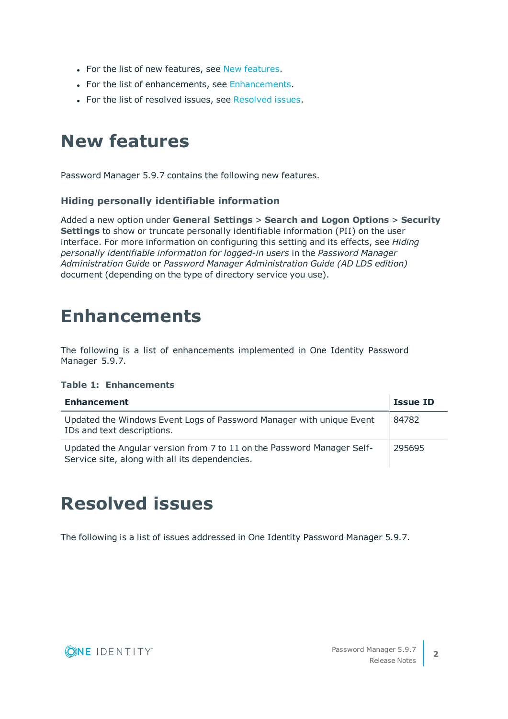- For the list of new features, see New [features.](#page-1-0)
- For the list of enhancements, see [Enhancements](#page-1-1).
- For the list of resolved issues, see [Resolved](#page-1-2) issues.

# <span id="page-1-0"></span>**New features**

Password Manager 5.9.7 contains the following new features.

# **Hiding personally identifiable information**

Added a new option under **General Settings** > **Search and Logon Options** > **Security Settings** to show or truncate personally identifiable information (PII) on the user interface. For more information on configuring this setting and its effects, see *Hiding personally identifiable information for logged-in users* in the *Password Manager Administration Guide* or *Password Manager Administration Guide (AD LDS edition)* document (depending on the type of directory service you use).

# <span id="page-1-1"></span>**Enhancements**

The following is a list of enhancements implemented in One Identity Password Manager 5.9.7.

#### **Table 1: Enhancements**

| <b>Enhancement</b>                                                                                                       | Issue ID |
|--------------------------------------------------------------------------------------------------------------------------|----------|
| Updated the Windows Event Logs of Password Manager with unique Event<br>IDs and text descriptions.                       | 84782    |
| Updated the Angular version from 7 to 11 on the Password Manager Self-<br>Service site, along with all its dependencies. | 295695   |

# <span id="page-1-2"></span>**Resolved issues**

The following is a list of issues addressed in One Identity Password Manager 5.9.7.

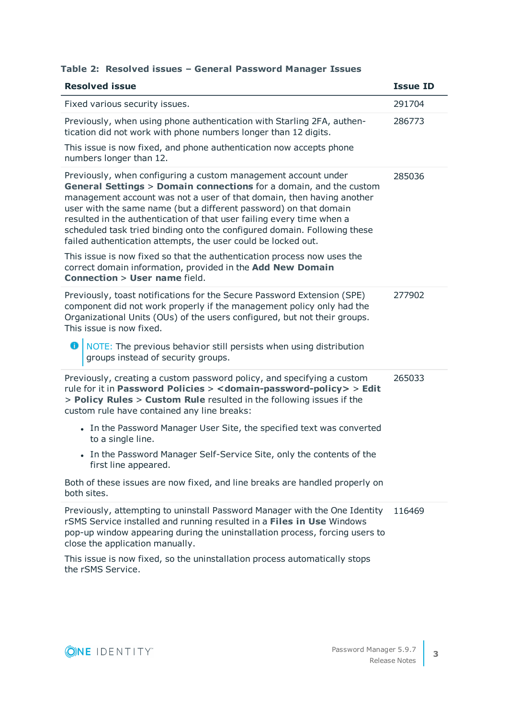| <b>Resolved issue</b>                                                                                                                                                                                                                                                                                                                                                                                                                                                                                    | <b>Issue ID</b> |
|----------------------------------------------------------------------------------------------------------------------------------------------------------------------------------------------------------------------------------------------------------------------------------------------------------------------------------------------------------------------------------------------------------------------------------------------------------------------------------------------------------|-----------------|
| Fixed various security issues.                                                                                                                                                                                                                                                                                                                                                                                                                                                                           | 291704          |
| Previously, when using phone authentication with Starling 2FA, authen-<br>tication did not work with phone numbers longer than 12 digits.                                                                                                                                                                                                                                                                                                                                                                | 286773          |
| This issue is now fixed, and phone authentication now accepts phone<br>numbers longer than 12.                                                                                                                                                                                                                                                                                                                                                                                                           |                 |
| Previously, when configuring a custom management account under<br>General Settings > Domain connections for a domain, and the custom<br>management account was not a user of that domain, then having another<br>user with the same name (but a different password) on that domain<br>resulted in the authentication of that user failing every time when a<br>scheduled task tried binding onto the configured domain. Following these<br>failed authentication attempts, the user could be locked out. | 285036          |
| This issue is now fixed so that the authentication process now uses the<br>correct domain information, provided in the Add New Domain<br><b>Connection &gt; User name field.</b>                                                                                                                                                                                                                                                                                                                         |                 |
| Previously, toast notifications for the Secure Password Extension (SPE)<br>component did not work properly if the management policy only had the<br>Organizational Units (OUs) of the users configured, but not their groups.<br>This issue is now fixed.                                                                                                                                                                                                                                                | 277902          |
| NOTE: The previous behavior still persists when using distribution<br>o<br>groups instead of security groups.                                                                                                                                                                                                                                                                                                                                                                                            |                 |
| Previously, creating a custom password policy, and specifying a custom<br>rule for it in Password Policies > < domain-password-policy > > Edit<br>> Policy Rules > Custom Rule resulted in the following issues if the<br>custom rule have contained any line breaks:                                                                                                                                                                                                                                    | 265033          |
| • In the Password Manager User Site, the specified text was converted<br>to a single line.                                                                                                                                                                                                                                                                                                                                                                                                               |                 |
| • In the Password Manager Self-Service Site, only the contents of the<br>first line appeared.                                                                                                                                                                                                                                                                                                                                                                                                            |                 |
| Both of these issues are now fixed, and line breaks are handled properly on<br>both sites.                                                                                                                                                                                                                                                                                                                                                                                                               |                 |
| Previously, attempting to uninstall Password Manager with the One Identity<br>rSMS Service installed and running resulted in a Files in Use Windows<br>pop-up window appearing during the uninstallation process, forcing users to<br>close the application manually.                                                                                                                                                                                                                                    | 116469          |
| This issue is now fixed, so the uninstallation process automatically stops                                                                                                                                                                                                                                                                                                                                                                                                                               |                 |

# **Table 2: Resolved issues – General Password Manager Issues**

ONE IDENTITY

the rSMS Service.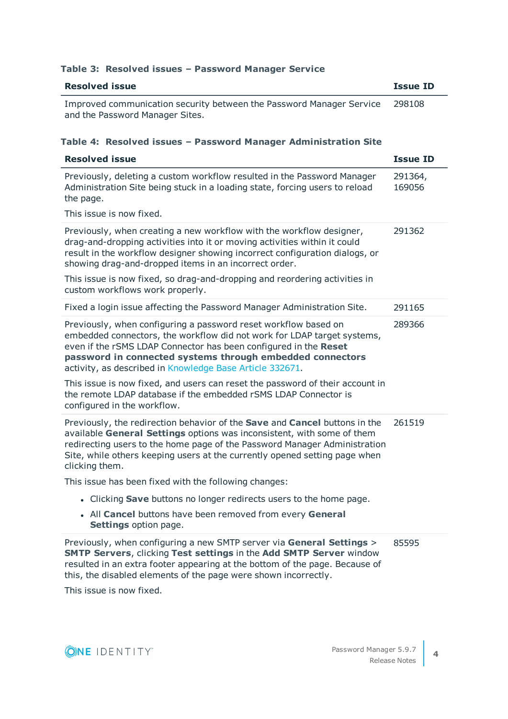# **Table 3: Resolved issues – Password Manager Service**

| <b>Resolved issue</b>                                                                                                                                                                                                                                                                                                                   | <b>Issue ID</b>   |
|-----------------------------------------------------------------------------------------------------------------------------------------------------------------------------------------------------------------------------------------------------------------------------------------------------------------------------------------|-------------------|
| Improved communication security between the Password Manager Service<br>and the Password Manager Sites.                                                                                                                                                                                                                                 | 298108            |
| Table 4: Resolved issues - Password Manager Administration Site                                                                                                                                                                                                                                                                         |                   |
| <b>Resolved issue</b>                                                                                                                                                                                                                                                                                                                   | <b>Issue ID</b>   |
| Previously, deleting a custom workflow resulted in the Password Manager<br>Administration Site being stuck in a loading state, forcing users to reload<br>the page.                                                                                                                                                                     | 291364,<br>169056 |
| This issue is now fixed.                                                                                                                                                                                                                                                                                                                |                   |
| Previously, when creating a new workflow with the workflow designer,<br>drag-and-dropping activities into it or moving activities within it could<br>result in the workflow designer showing incorrect configuration dialogs, or<br>showing drag-and-dropped items in an incorrect order.                                               | 291362            |
| This issue is now fixed, so drag-and-dropping and reordering activities in<br>custom workflows work properly.                                                                                                                                                                                                                           |                   |
| Fixed a login issue affecting the Password Manager Administration Site.                                                                                                                                                                                                                                                                 | 291165            |
| Previously, when configuring a password reset workflow based on<br>embedded connectors, the workflow did not work for LDAP target systems,<br>even if the rSMS LDAP Connector has been configured in the Reset<br>password in connected systems through embedded connectors<br>activity, as described in Knowledge Base Article 332671. | 289366            |
| This issue is now fixed, and users can reset the password of their account in<br>the remote LDAP database if the embedded rSMS LDAP Connector is<br>configured in the workflow.                                                                                                                                                         |                   |
| Previously, the redirection behavior of the Save and Cancel buttons in the<br>available General Settings options was inconsistent, with some of them<br>redirecting users to the home page of the Password Manager Administration<br>Site, while others keeping users at the currently opened setting page when<br>clicking them.       | 261519            |
| This issue has been fixed with the following changes:                                                                                                                                                                                                                                                                                   |                   |
| • Clicking Save buttons no longer redirects users to the home page.                                                                                                                                                                                                                                                                     |                   |
| • All Cancel buttons have been removed from every General<br>Settings option page.                                                                                                                                                                                                                                                      |                   |
| Previously, when configuring a new SMTP server via General Settings ><br><b>SMTP Servers, clicking Test settings in the Add SMTP Server window</b><br>resulted in an extra footer appearing at the bottom of the page. Because of<br>this, the disabled elements of the page were shown incorrectly.<br>This is such in some fixed.     | 85595             |

This issue is now fixed.

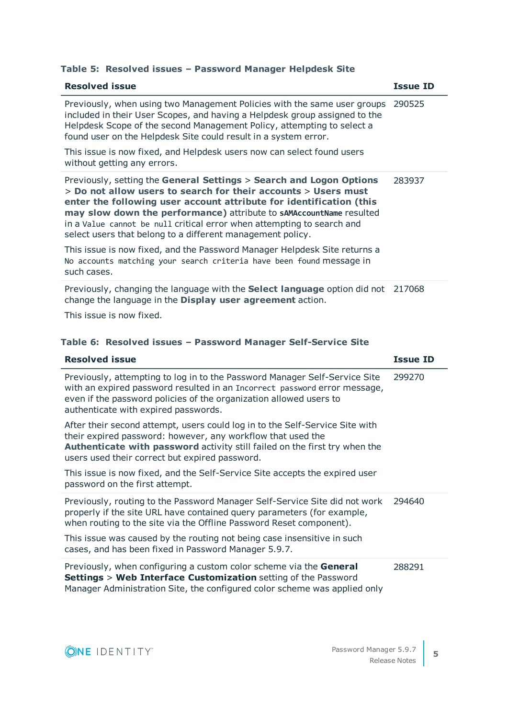# **Table 5: Resolved issues – Password Manager Helpdesk Site**

| <b>Resolved issue</b>                                                                                                                                                                                                                                                                                                                                                                                                       | <b>Issue ID</b> |
|-----------------------------------------------------------------------------------------------------------------------------------------------------------------------------------------------------------------------------------------------------------------------------------------------------------------------------------------------------------------------------------------------------------------------------|-----------------|
| Previously, when using two Management Policies with the same user groups<br>included in their User Scopes, and having a Helpdesk group assigned to the<br>Helpdesk Scope of the second Management Policy, attempting to select a<br>found user on the Helpdesk Site could result in a system error.                                                                                                                         | 290525          |
| This issue is now fixed, and Helpdesk users now can select found users<br>without getting any errors.                                                                                                                                                                                                                                                                                                                       |                 |
| Previously, setting the General Settings > Search and Logon Options<br>> Do not allow users to search for their accounts > Users must<br>enter the following user account attribute for identification (this<br>may slow down the performance) attribute to sAMAccountName resulted<br>in a Value cannot be null critical error when attempting to search and<br>select users that belong to a different management policy. | 283937          |
| This issue is now fixed, and the Password Manager Helpdesk Site returns a<br>No accounts matching your search criteria have been found message in<br>such cases.                                                                                                                                                                                                                                                            |                 |
| Previously, changing the language with the <b>Select language</b> option did not<br>change the language in the Display user agreement action.                                                                                                                                                                                                                                                                               | 217068          |

This issue is now fixed.

# **Table 6: Resolved issues – Password Manager Self-Service Site**

| <b>Resolved issue</b>                                                                                                                                                                                                                                                       | <b>Issue ID</b> |
|-----------------------------------------------------------------------------------------------------------------------------------------------------------------------------------------------------------------------------------------------------------------------------|-----------------|
| Previously, attempting to log in to the Password Manager Self-Service Site<br>with an expired password resulted in an Incorrect password error message,<br>even if the password policies of the organization allowed users to<br>authenticate with expired passwords.       | 299270          |
| After their second attempt, users could log in to the Self-Service Site with<br>their expired password: however, any workflow that used the<br>Authenticate with password activity still failed on the first try when the<br>users used their correct but expired password. |                 |
| This issue is now fixed, and the Self-Service Site accepts the expired user<br>password on the first attempt.                                                                                                                                                               |                 |
| Previously, routing to the Password Manager Self-Service Site did not work<br>properly if the site URL have contained query parameters (for example,<br>when routing to the site via the Offline Password Reset component).                                                 | 294640          |
| This issue was caused by the routing not being case insensitive in such<br>cases, and has been fixed in Password Manager 5.9.7.                                                                                                                                             |                 |
| Previously, when configuring a custom color scheme via the General<br><b>Settings &gt; Web Interface Customization</b> setting of the Password<br>Manager Administration Site, the configured color scheme was applied only                                                 | 288291          |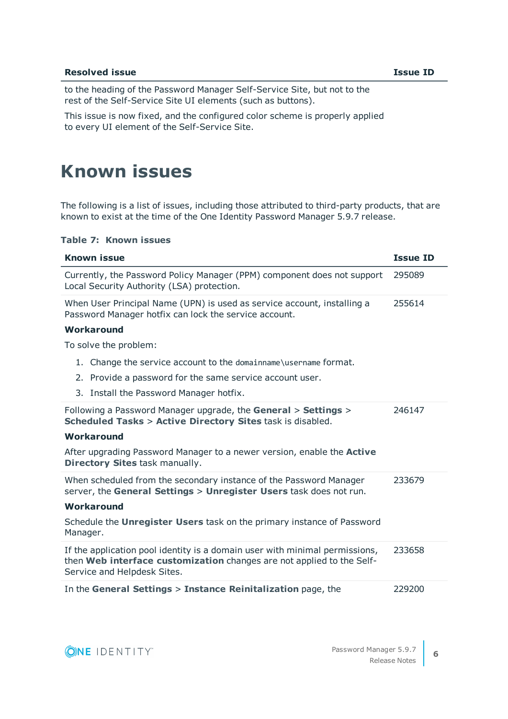#### **Resolved issue Issue ID**

to the heading of the Password Manager Self-Service Site, but not to the rest of the Self-Service Site UI elements (such as buttons).

This issue is now fixed, and the configured color scheme is properly applied to every UI element of the Self-Service Site.

# <span id="page-5-0"></span>**Known issues**

The following is a list of issues, including those attributed to third-party products, that are known to exist at the time of the One Identity Password Manager 5.9.7 release.

#### **Table 7: Known issues**

| <b>Known issue</b>                                                                                                                                                                  | <b>Issue ID</b> |
|-------------------------------------------------------------------------------------------------------------------------------------------------------------------------------------|-----------------|
| Currently, the Password Policy Manager (PPM) component does not support<br>Local Security Authority (LSA) protection.                                                               | 295089          |
| When User Principal Name (UPN) is used as service account, installing a<br>Password Manager hotfix can lock the service account.                                                    | 255614          |
| <b>Workaround</b>                                                                                                                                                                   |                 |
| To solve the problem:                                                                                                                                                               |                 |
| 1. Change the service account to the domainname\username format.                                                                                                                    |                 |
| 2. Provide a password for the same service account user.                                                                                                                            |                 |
| 3. Install the Password Manager hotfix.                                                                                                                                             |                 |
| Following a Password Manager upgrade, the General > Settings ><br>246147<br><b>Scheduled Tasks &gt; Active Directory Sites task is disabled.</b>                                    |                 |
| Workaround                                                                                                                                                                          |                 |
| After upgrading Password Manager to a newer version, enable the <b>Active</b><br>Directory Sites task manually.                                                                     |                 |
| When scheduled from the secondary instance of the Password Manager<br>server, the General Settings > Unregister Users task does not run.                                            | 233679          |
| Workaround                                                                                                                                                                          |                 |
| Schedule the Unregister Users task on the primary instance of Password<br>Manager.                                                                                                  |                 |
| If the application pool identity is a domain user with minimal permissions,<br>then Web interface customization changes are not applied to the Self-<br>Service and Helpdesk Sites. | 233658          |
| In the General Settings > Instance Reinitalization page, the                                                                                                                        | 229200          |



**6**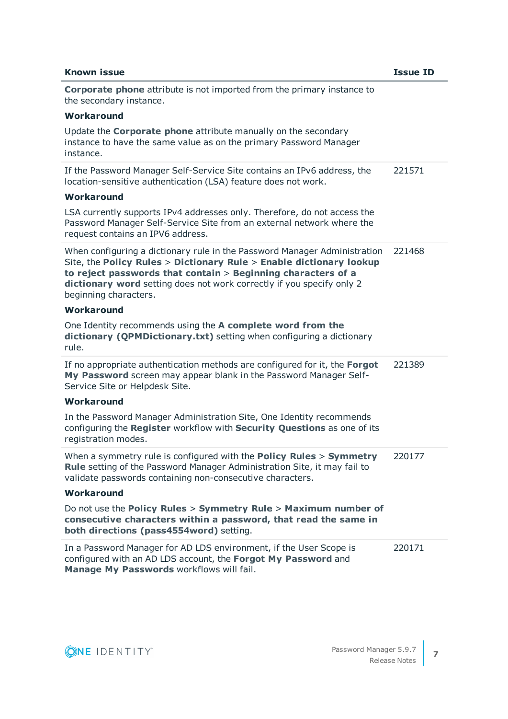| <b>Known issue</b>                                                                                                                                                                                                                                                                                                 | <b>Issue ID</b> |
|--------------------------------------------------------------------------------------------------------------------------------------------------------------------------------------------------------------------------------------------------------------------------------------------------------------------|-----------------|
| <b>Corporate phone attribute is not imported from the primary instance to</b><br>the secondary instance.                                                                                                                                                                                                           |                 |
| Workaround                                                                                                                                                                                                                                                                                                         |                 |
| Update the <b>Corporate phone</b> attribute manually on the secondary<br>instance to have the same value as on the primary Password Manager<br>instance.                                                                                                                                                           |                 |
| If the Password Manager Self-Service Site contains an IPv6 address, the<br>location-sensitive authentication (LSA) feature does not work.                                                                                                                                                                          | 221571          |
| Workaround                                                                                                                                                                                                                                                                                                         |                 |
| LSA currently supports IPv4 addresses only. Therefore, do not access the<br>Password Manager Self-Service Site from an external network where the<br>request contains an IPV6 address.                                                                                                                             |                 |
| When configuring a dictionary rule in the Password Manager Administration<br>Site, the Policy Rules > Dictionary Rule > Enable dictionary lookup<br>to reject passwords that contain > Beginning characters of a<br>dictionary word setting does not work correctly if you specify only 2<br>beginning characters. | 221468          |
| Workaround                                                                                                                                                                                                                                                                                                         |                 |
| One Identity recommends using the A complete word from the<br>dictionary (QPMDictionary.txt) setting when configuring a dictionary<br>rule.                                                                                                                                                                        |                 |
| If no appropriate authentication methods are configured for it, the Forgot<br>My Password screen may appear blank in the Password Manager Self-<br>Service Site or Helpdesk Site.                                                                                                                                  | 221389          |
| Workaround                                                                                                                                                                                                                                                                                                         |                 |
| In the Password Manager Administration Site, One Identity recommends<br>configuring the Register workflow with Security Questions as one of its<br>registration modes.                                                                                                                                             |                 |
| When a symmetry rule is configured with the <b>Policy Rules &gt; Symmetry</b><br>Rule setting of the Password Manager Administration Site, it may fail to<br>validate passwords containing non-consecutive characters.                                                                                             | 220177          |
| Workaround                                                                                                                                                                                                                                                                                                         |                 |
| Do not use the Policy Rules > Symmetry Rule > Maximum number of<br>consecutive characters within a password, that read the same in<br>both directions (pass4554word) setting.                                                                                                                                      |                 |
| In a Password Manager for AD LDS environment, if the User Scope is<br>configured with an AD LDS account, the Forgot My Password and<br>Manage My Passwords workflows will fail.                                                                                                                                    | 220171          |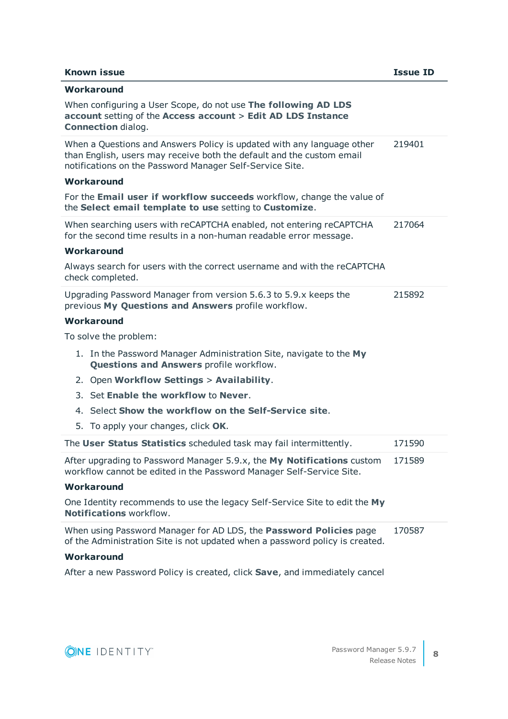### **Known issue Issue ID**

| Workaround                                                                                                                                                                                                                                              |        |
|---------------------------------------------------------------------------------------------------------------------------------------------------------------------------------------------------------------------------------------------------------|--------|
| When configuring a User Scope, do not use The following AD LDS<br>account setting of the Access account > Edit AD LDS Instance<br><b>Connection dialog.</b>                                                                                             |        |
| When a Questions and Answers Policy is updated with any language other<br>219401<br>than English, users may receive both the default and the custom email<br>notifications on the Password Manager Self-Service Site.<br>Workaround                     |        |
| For the Email user if workflow succeeds workflow, change the value of<br>the Select email template to use setting to Customize.                                                                                                                         |        |
| When searching users with reCAPTCHA enabled, not entering reCAPTCHA<br>for the second time results in a non-human readable error message.<br>Workaround<br>Always search for users with the correct username and with the reCAPTCHA<br>check completed. | 217064 |
| Upgrading Password Manager from version 5.6.3 to 5.9.x keeps the<br>previous My Questions and Answers profile workflow.<br>Workaround                                                                                                                   | 215892 |
| To solve the problem:                                                                                                                                                                                                                                   |        |
| 1. In the Password Manager Administration Site, navigate to the My<br><b>Questions and Answers profile workflow.</b>                                                                                                                                    |        |
| 2. Open Workflow Settings > Availability.                                                                                                                                                                                                               |        |
| 3. Set Enable the workflow to Never.                                                                                                                                                                                                                    |        |
| 4. Select Show the workflow on the Self-Service site.                                                                                                                                                                                                   |        |
| 5. To apply your changes, click OK.                                                                                                                                                                                                                     |        |
| The User Status Statistics scheduled task may fail intermittently.                                                                                                                                                                                      | 171590 |
| After upgrading to Password Manager 5.9.x, the My Notifications custom<br>workflow cannot be edited in the Password Manager Self-Service Site.                                                                                                          | 171589 |
| Workaround                                                                                                                                                                                                                                              |        |
| One Identity recommends to use the legacy Self-Service Site to edit the My<br>Notifications workflow.                                                                                                                                                   |        |
| When using Password Manager for AD LDS, the Password Policies page<br>170587<br>of the Administration Site is not updated when a password policy is created.                                                                                            |        |
| Workaround                                                                                                                                                                                                                                              |        |

After a new Password Policy is created, click **Save**, and immediately cancel



**8**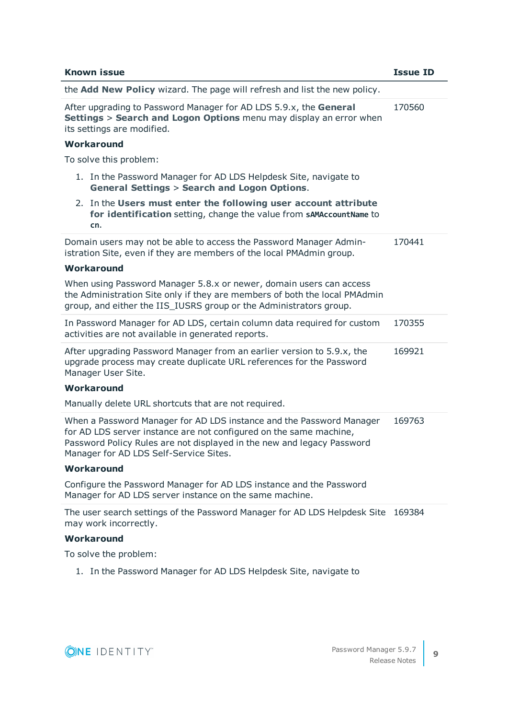|                                                                                                                                                                                 | <b>Known issue</b><br><b>Issue ID</b>                                                                                                                                                                                                                          |        |
|---------------------------------------------------------------------------------------------------------------------------------------------------------------------------------|----------------------------------------------------------------------------------------------------------------------------------------------------------------------------------------------------------------------------------------------------------------|--------|
|                                                                                                                                                                                 | the Add New Policy wizard. The page will refresh and list the new policy.                                                                                                                                                                                      |        |
| After upgrading to Password Manager for AD LDS 5.9.x, the General<br><b>Settings &gt; Search and Logon Options</b> menu may display an error when<br>its settings are modified. |                                                                                                                                                                                                                                                                | 170560 |
|                                                                                                                                                                                 | Workaround                                                                                                                                                                                                                                                     |        |
|                                                                                                                                                                                 | To solve this problem:                                                                                                                                                                                                                                         |        |
|                                                                                                                                                                                 | 1. In the Password Manager for AD LDS Helpdesk Site, navigate to<br><b>General Settings &gt; Search and Logon Options.</b>                                                                                                                                     |        |
|                                                                                                                                                                                 | 2. In the Users must enter the following user account attribute<br>for identification setting, change the value from sAMAccountName to<br>cn.                                                                                                                  |        |
|                                                                                                                                                                                 | Domain users may not be able to access the Password Manager Admin-<br>istration Site, even if they are members of the local PMAdmin group.                                                                                                                     | 170441 |
|                                                                                                                                                                                 | <b>Workaround</b>                                                                                                                                                                                                                                              |        |
|                                                                                                                                                                                 | When using Password Manager 5.8.x or newer, domain users can access<br>the Administration Site only if they are members of both the local PMAdmin<br>group, and either the IIS_IUSRS group or the Administrators group.                                        |        |
|                                                                                                                                                                                 | In Password Manager for AD LDS, certain column data required for custom<br>activities are not available in generated reports.                                                                                                                                  | 170355 |
|                                                                                                                                                                                 | After upgrading Password Manager from an earlier version to 5.9.x, the<br>upgrade process may create duplicate URL references for the Password<br>Manager User Site.                                                                                           | 169921 |
|                                                                                                                                                                                 | Workaround                                                                                                                                                                                                                                                     |        |
|                                                                                                                                                                                 | Manually delete URL shortcuts that are not required.                                                                                                                                                                                                           |        |
|                                                                                                                                                                                 | When a Password Manager for AD LDS instance and the Password Manager<br>for AD LDS server instance are not configured on the same machine,<br>Password Policy Rules are not displayed in the new and legacy Password<br>Manager for AD LDS Self-Service Sites. | 169763 |
|                                                                                                                                                                                 | Workaround                                                                                                                                                                                                                                                     |        |
|                                                                                                                                                                                 | Configure the Password Manager for AD LDS instance and the Password<br>Manager for AD LDS server instance on the same machine.                                                                                                                                 |        |
|                                                                                                                                                                                 | The user search settings of the Password Manager for AD LDS Helpdesk Site<br>may work incorrectly.                                                                                                                                                             | 169384 |
|                                                                                                                                                                                 | Workaround                                                                                                                                                                                                                                                     |        |
|                                                                                                                                                                                 | To solve the problem:                                                                                                                                                                                                                                          |        |

1. In the Password Manager for AD LDS Helpdesk Site, navigate to



**9**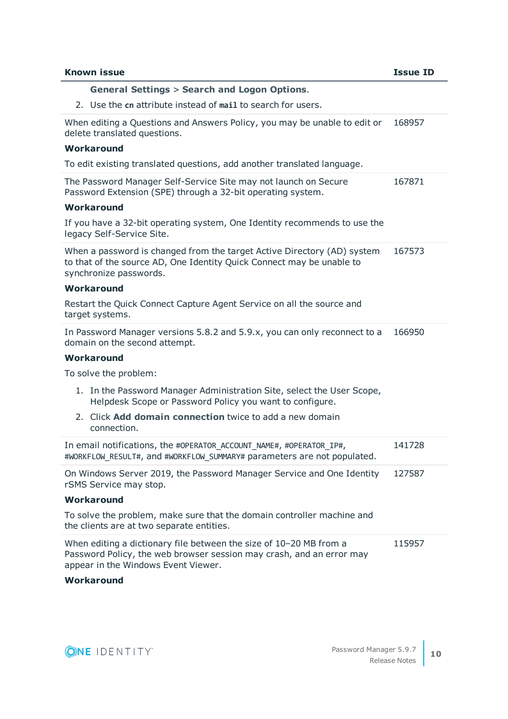| <b>Known issue</b>                                                                                                                                                                | <b>Issue ID</b> |
|-----------------------------------------------------------------------------------------------------------------------------------------------------------------------------------|-----------------|
| <b>General Settings &gt; Search and Logon Options.</b>                                                                                                                            |                 |
| 2. Use the cn attribute instead of mail to search for users.                                                                                                                      |                 |
| When editing a Questions and Answers Policy, you may be unable to edit or<br>delete translated questions.                                                                         | 168957          |
| Workaround                                                                                                                                                                        |                 |
| To edit existing translated questions, add another translated language.                                                                                                           |                 |
| The Password Manager Self-Service Site may not launch on Secure<br>Password Extension (SPE) through a 32-bit operating system.                                                    | 167871          |
| <b>Workaround</b>                                                                                                                                                                 |                 |
| If you have a 32-bit operating system, One Identity recommends to use the<br>legacy Self-Service Site.                                                                            |                 |
| When a password is changed from the target Active Directory (AD) system<br>to that of the source AD, One Identity Quick Connect may be unable to<br>synchronize passwords.        | 167573          |
| Workaround                                                                                                                                                                        |                 |
| Restart the Quick Connect Capture Agent Service on all the source and<br>target systems.                                                                                          |                 |
| In Password Manager versions 5.8.2 and 5.9.x, you can only reconnect to a<br>domain on the second attempt.                                                                        | 166950          |
| Workaround                                                                                                                                                                        |                 |
| To solve the problem:                                                                                                                                                             |                 |
| 1. In the Password Manager Administration Site, select the User Scope,<br>Helpdesk Scope or Password Policy you want to configure.                                                |                 |
| 2. Click Add domain connection twice to add a new domain<br>connection.                                                                                                           |                 |
| In email notifications, the #OPERATOR_ACCOUNT_NAME#, #OPERATOR_IP#,<br>#WORKFLOW_RESULT#, and #WORKFLOW_SUMMARY# parameters are not populated.                                    | 141728          |
| On Windows Server 2019, the Password Manager Service and One Identity<br>rSMS Service may stop.                                                                                   | 127587          |
| Workaround                                                                                                                                                                        |                 |
| To solve the problem, make sure that the domain controller machine and<br>the clients are at two separate entities.                                                               |                 |
| When editing a dictionary file between the size of 10-20 MB from a<br>Password Policy, the web browser session may crash, and an error may<br>appear in the Windows Event Viewer. | 115957          |
| Workaround                                                                                                                                                                        |                 |

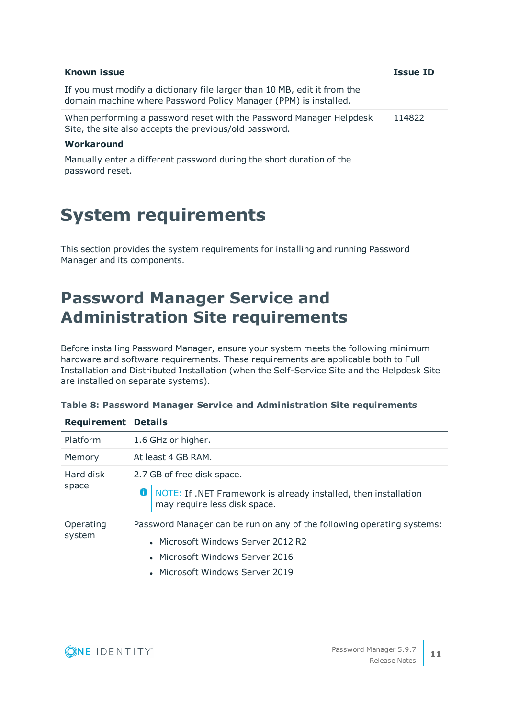| <b>Known issue</b>                                                                                                                           | <b>Issue ID</b> |
|----------------------------------------------------------------------------------------------------------------------------------------------|-----------------|
| If you must modify a dictionary file larger than 10 MB, edit it from the<br>domain machine where Password Policy Manager (PPM) is installed. |                 |
| When performing a password reset with the Password Manager Helpdesk<br>Site, the site also accepts the previous/old password.                | 114822          |
|                                                                                                                                              |                 |

### **Workaround**

Manually enter a different password during the short duration of the password reset.

# <span id="page-10-0"></span>**System requirements**

This section provides the system requirements for installing and running Password Manager and its components.

# **Password Manager Service and Administration Site requirements**

Before installing Password Manager, ensure your system meets the following minimum hardware and software requirements. These requirements are applicable both to Full Installation and Distributed Installation (when the Self-Service Site and the Helpdesk Site are installed on separate systems).

| <b>Requirement Details</b> |                                                                                                                                                                                    |
|----------------------------|------------------------------------------------------------------------------------------------------------------------------------------------------------------------------------|
| Platform                   | 1.6 GHz or higher.                                                                                                                                                                 |
| Memory                     | At least 4 GB RAM.                                                                                                                                                                 |
| Hard disk<br>space         | 2.7 GB of free disk space.<br>O   NOTE: If .NET Framework is already installed, then installation<br>may require less disk space.                                                  |
| Operating<br>system        | Password Manager can be run on any of the following operating systems:<br>• Microsoft Windows Server 2012 R2<br>• Microsoft Windows Server 2016<br>• Microsoft Windows Server 2019 |

|  |  |  | Table 8: Password Manager Service and Administration Site requirements |  |
|--|--|--|------------------------------------------------------------------------|--|
|  |  |  |                                                                        |  |

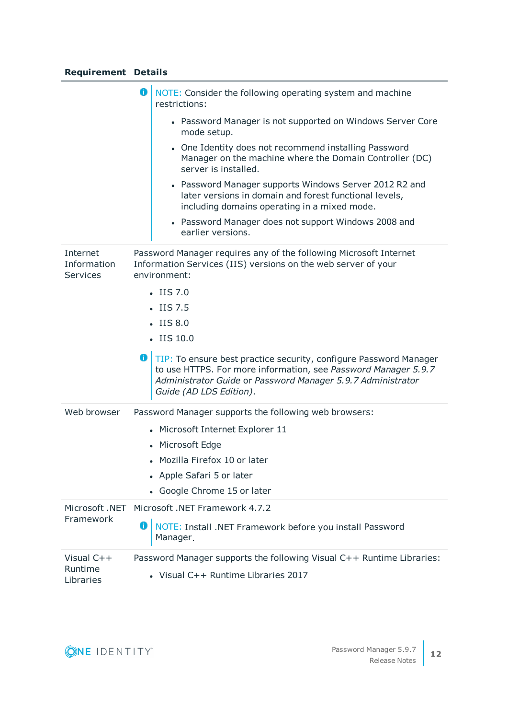# **Requirement Details**

|                                     | o<br>NOTE: Consider the following operating system and machine<br>restrictions:                                                                                                                                               |  |  |
|-------------------------------------|-------------------------------------------------------------------------------------------------------------------------------------------------------------------------------------------------------------------------------|--|--|
|                                     | • Password Manager is not supported on Windows Server Core<br>mode setup.                                                                                                                                                     |  |  |
|                                     | • One Identity does not recommend installing Password<br>Manager on the machine where the Domain Controller (DC)<br>server is installed.                                                                                      |  |  |
|                                     | • Password Manager supports Windows Server 2012 R2 and<br>later versions in domain and forest functional levels,<br>including domains operating in a mixed mode.                                                              |  |  |
|                                     | • Password Manager does not support Windows 2008 and<br>earlier versions.                                                                                                                                                     |  |  |
| Internet<br>Information<br>Services | Password Manager requires any of the following Microsoft Internet<br>Information Services (IIS) versions on the web server of your<br>environment:                                                                            |  |  |
|                                     | $-$ IIS 7.0                                                                                                                                                                                                                   |  |  |
|                                     | $-$ IIS 7.5                                                                                                                                                                                                                   |  |  |
|                                     | $\cdot$ IIS 8.0                                                                                                                                                                                                               |  |  |
|                                     | $-$ IIS 10.0                                                                                                                                                                                                                  |  |  |
|                                     |                                                                                                                                                                                                                               |  |  |
|                                     | TIP: To ensure best practice security, configure Password Manager<br>to use HTTPS. For more information, see Password Manager 5.9.7<br>Administrator Guide or Password Manager 5.9.7 Administrator<br>Guide (AD LDS Edition). |  |  |
| Web browser                         | Password Manager supports the following web browsers:                                                                                                                                                                         |  |  |
|                                     | • Microsoft Internet Explorer 11                                                                                                                                                                                              |  |  |
|                                     | • Microsoft Edge                                                                                                                                                                                                              |  |  |
|                                     | • Mozilla Firefox 10 or later                                                                                                                                                                                                 |  |  |
|                                     | • Apple Safari 5 or later                                                                                                                                                                                                     |  |  |
|                                     | • Google Chrome 15 or later                                                                                                                                                                                                   |  |  |
| Microsoft .NET                      | Microsoft .NET Framework 4.7.2                                                                                                                                                                                                |  |  |
| Framework                           | NOTE: Install .NET Framework before you install Password<br>Manager.                                                                                                                                                          |  |  |
| Visual $C++$<br>Runtime             | Password Manager supports the following Visual C++ Runtime Libraries:                                                                                                                                                         |  |  |

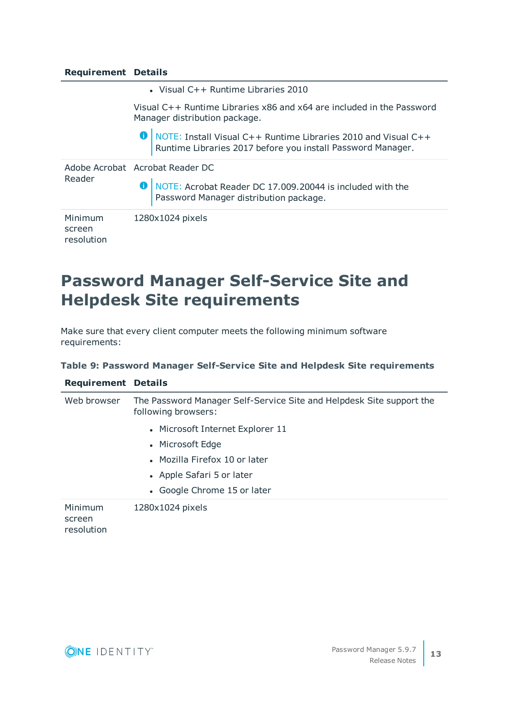### **Requirement Details**

• Visual C++ Runtime Libraries 2010

Visual C++ Runtime Libraries x86 and x64 are included in the Password Manager distribution package.

O | NOTE: Install Visual C++ Runtime Libraries 2010 and Visual C++ Runtime Libraries 2017 before you install Password Manager.

| Reader                          | Adobe Acrobat Acrobat Reader DC<br>O   NOTE: Acrobat Reader DC 17.009.20044 is included with the<br>Password Manager distribution package. |
|---------------------------------|--------------------------------------------------------------------------------------------------------------------------------------------|
| Minimum<br>screen<br>resolution | 1280x1024 pixels                                                                                                                           |

# **Password Manager Self-Service Site and Helpdesk Site requirements**

Make sure that every client computer meets the following minimum software requirements:

#### **Table 9: Password Manager Self-Service Site and Helpdesk Site requirements**

| <b>Requirement Details</b>      |                                                                                             |  |  |
|---------------------------------|---------------------------------------------------------------------------------------------|--|--|
| Web browser                     | The Password Manager Self-Service Site and Helpdesk Site support the<br>following browsers: |  |  |
|                                 | • Microsoft Internet Explorer 11                                                            |  |  |
|                                 | • Microsoft Edge                                                                            |  |  |
|                                 | • Mozilla Firefox 10 or later                                                               |  |  |
|                                 | • Apple Safari 5 or later                                                                   |  |  |
|                                 | • Google Chrome 15 or later                                                                 |  |  |
| Minimum<br>screen<br>resolution | 1280x1024 pixels                                                                            |  |  |

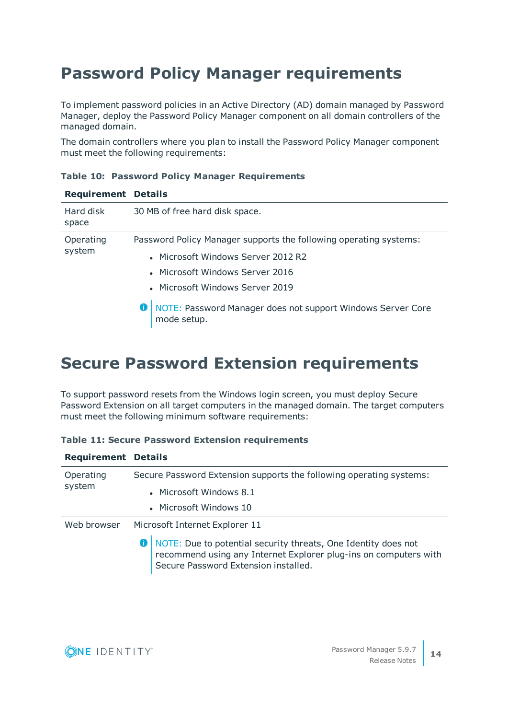# **Password Policy Manager requirements**

To implement password policies in an Active Directory (AD) domain managed by Password Manager, deploy the Password Policy Manager component on all domain controllers of the managed domain.

The domain controllers where you plan to install the Password Policy Manager component must meet the following requirements:

| <b>Requirement Details</b> |                                                                                     |  |
|----------------------------|-------------------------------------------------------------------------------------|--|
| Hard disk<br>space         | 30 MB of free hard disk space.                                                      |  |
| Operating                  | Password Policy Manager supports the following operating systems:                   |  |
| system                     | • Microsoft Windows Server 2012 R2                                                  |  |
|                            | • Microsoft Windows Server 2016                                                     |  |
|                            | • Microsoft Windows Server 2019                                                     |  |
|                            | <b>O</b> NOTE: Password Manager does not support Windows Server Core<br>mode setup. |  |

## **Table 10: Password Policy Manager Requirements**

# **Secure Password Extension requirements**

To support password resets from the Windows login screen, you must deploy Secure Password Extension on all target computers in the managed domain. The target computers must meet the following minimum software requirements:

| <b>Table 11: Secure Password Extension requirements</b> |  |  |
|---------------------------------------------------------|--|--|
|---------------------------------------------------------|--|--|

| <b>Requirement Details</b> |                                                                                                                                                                                |
|----------------------------|--------------------------------------------------------------------------------------------------------------------------------------------------------------------------------|
| Operating                  | Secure Password Extension supports the following operating systems:                                                                                                            |
| system                     | • Microsoft Windows 8.1                                                                                                                                                        |
|                            | • Microsoft Windows 10                                                                                                                                                         |
| Web browser                | Microsoft Internet Explorer 11                                                                                                                                                 |
|                            | O   NOTE: Due to potential security threats, One Identity does not<br>recommend using any Internet Explorer plug-ins on computers with<br>Secure Password Extension installed. |

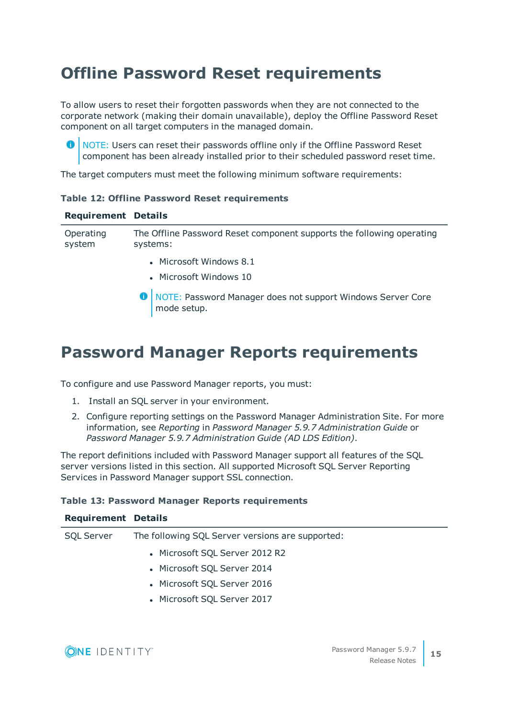# **Offline Password Reset requirements**

To allow users to reset their forgotten passwords when they are not connected to the corporate network (making their domain unavailable), deploy the Offline Password Reset component on all target computers in the managed domain.

**O** NOTE: Users can reset their passwords offline only if the Offline Password Reset component has been already installed prior to their scheduled password reset time.

The target computers must meet the following minimum software requirements:

|  |  |  |  |  | <b>Table 12: Offline Password Reset requirements</b> |
|--|--|--|--|--|------------------------------------------------------|
|--|--|--|--|--|------------------------------------------------------|

| <b>Requirement Details</b> |                                                                                   |
|----------------------------|-----------------------------------------------------------------------------------|
| Operating<br>system        | The Offline Password Reset component supports the following operating<br>systems: |
|                            | • Microsoft Windows 8.1                                                           |

- **Microsoft Windows 10**
- **O** NOTE: Password Manager does not support Windows Server Core mode setup.

# **Password Manager Reports requirements**

To configure and use Password Manager reports, you must:

- 1. Install an SQL server in your environment.
- 2. Configure reporting settings on the Password Manager Administration Site. For more information, see *Reporting* in *Password Manager 5.9.7 Administration Guide* or *Password Manager 5.9.7 Administration Guide (AD LDS Edition)*.

The report definitions included with Password Manager support all features of the SQL server versions listed in this section. All supported Microsoft SQL Server Reporting Services in Password Manager support SSL connection.

## **Table 13: Password Manager Reports requirements**

#### **Requirement Details**

| <b>SQL Server</b> | The following SQL Server versions are supported: |  |
|-------------------|--------------------------------------------------|--|
|                   | • Microsoft SQL Server 2012 R2                   |  |
|                   | • Microsoft SQL Server 2014                      |  |
|                   | • Microsoft SQL Server 2016                      |  |
|                   | • Microsoft SQL Server 2017                      |  |
|                   |                                                  |  |

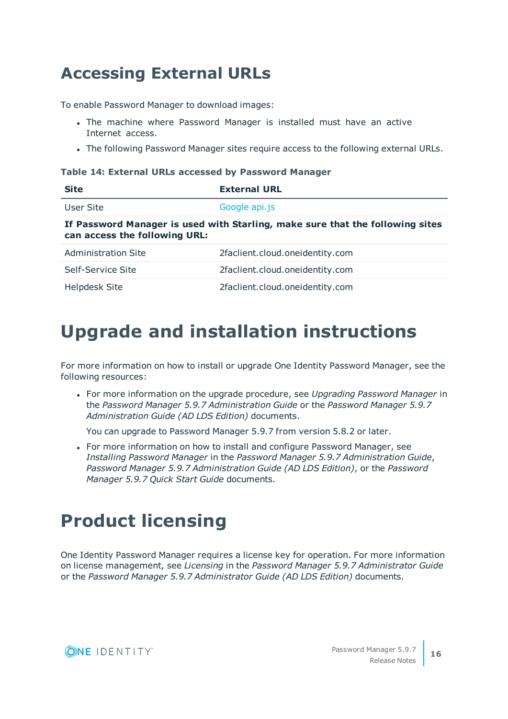# **Accessing External URLs**

To enable Password Manager to download images:

- The machine where Password Manager is installed must have an active Internet access.
- The following Password Manager sites require access to the following external URLs.

#### **Table 14: External URLs accessed by Password Manager**

| <b>Site</b>                   | <b>External URL</b>                                                           |
|-------------------------------|-------------------------------------------------------------------------------|
| User Site                     | Google api.js                                                                 |
| can access the following URL: | If Password Manager is used with Starling, make sure that the following sites |
| <b>Administration Site</b>    | 2faclient.cloud.oneidentity.com                                               |
| Self-Service Site             | 2faclient.cloud.oneidentity.com                                               |
| <b>Helpdesk Site</b>          | 2faclient.cloud.oneidentity.com                                               |

# <span id="page-15-0"></span>**Upgrade and installation instructions**

For more information on how to install or upgrade One Identity Password Manager, see the following resources:

<sup>l</sup> For more information on the upgrade procedure, see *Upgrading Password Manager* in the *Password Manager 5.9.7 Administration Guide* or the *Password Manager 5.9.7 Administration Guide (AD LDS Edition)* documents.

You can upgrade to Password Manager 5.9.7 from version 5.8.2 or later.

• For more information on how to install and configure Password Manager, see *Installing Password Manager* in the *Password Manager 5.9.7 Administration Guide*, *Password Manager 5.9.7 Administration Guide (AD LDS Edition)*, or the *Password Manager 5.9.7 Quick Start Guide* documents.

# <span id="page-15-1"></span>**Product licensing**

One Identity Password Manager requires a license key for operation. For more information on license management, see *Licensing* in the *Password Manager 5.9.7 Administrator Guide* or the *Password Manager 5.9.7 Administrator Guide (AD LDS Edition)* documents.

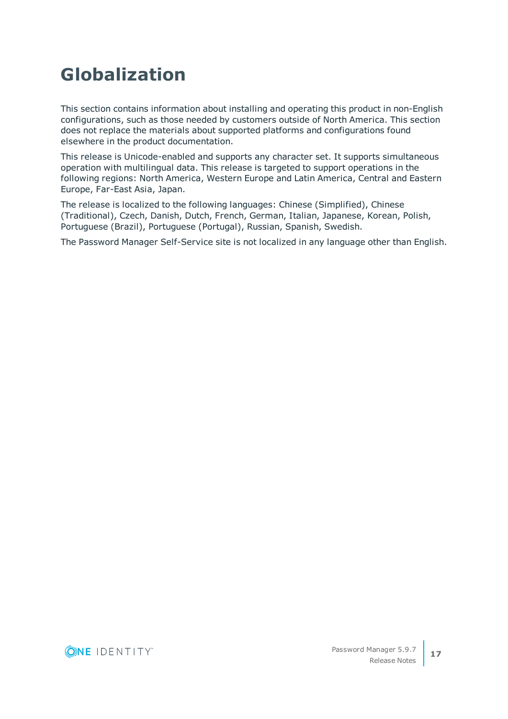# <span id="page-16-0"></span>**Globalization**

This section contains information about installing and operating this product in non-English configurations, such as those needed by customers outside of North America. This section does not replace the materials about supported platforms and configurations found elsewhere in the product documentation.

This release is Unicode-enabled and supports any character set. It supports simultaneous operation with multilingual data. This release is targeted to support operations in the following regions: North America, Western Europe and Latin America, Central and Eastern Europe, Far-East Asia, Japan.

The release is localized to the following languages: Chinese (Simplified), Chinese (Traditional), Czech, Danish, Dutch, French, German, Italian, Japanese, Korean, Polish, Portuguese (Brazil), Portuguese (Portugal), Russian, Spanish, Swedish.

The Password Manager Self-Service site is not localized in any language other than English.

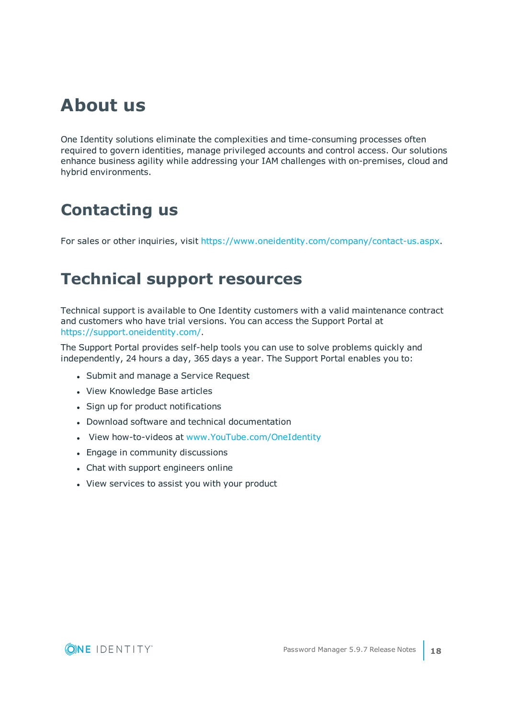# **About us**

One Identity solutions eliminate the complexities and time-consuming processes often required to govern identities, manage privileged accounts and control access. Our solutions enhance business agility while addressing your IAM challenges with on-premises, cloud and hybrid environments.

# **Contacting us**

For sales or other inquiries, visit <https://www.oneidentity.com/company/contact-us.aspx>.

# **Technical support resources**

Technical support is available to One Identity customers with a valid maintenance contract and customers who have trial versions. You can access the Support Portal at [https://support.oneidentity.com/.](https://support.oneidentity.com/)

The Support Portal provides self-help tools you can use to solve problems quickly and independently, 24 hours a day, 365 days a year. The Support Portal enables you to:

- Submit and manage a Service Request
- View Knowledge Base articles
- Sign up for product notifications
- Download software and technical documentation
- View how-to-videos at [www.YouTube.com/OneIdentity](http://www.youtube.com/OneIdentity)
- Engage in community discussions
- Chat with support engineers online
- View services to assist you with your product

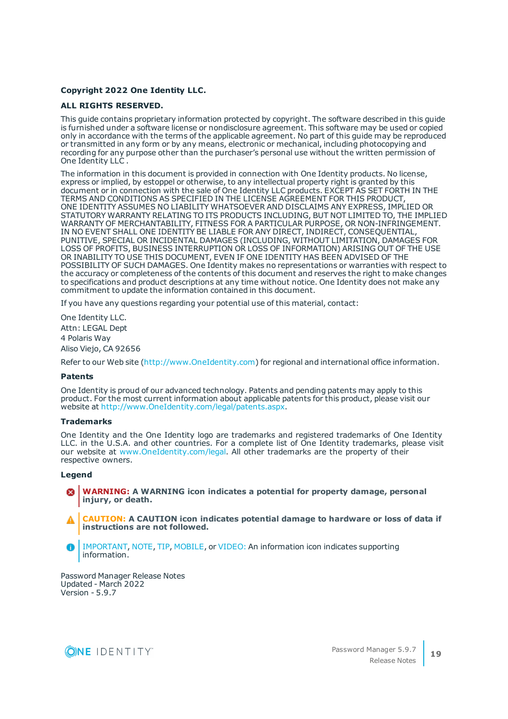#### **Copyright 2022 One Identity LLC.**

#### **ALL RIGHTS RESERVED.**

This guide contains proprietary information protected by copyright. The software described in this guide is furnished under a software license or nondisclosure agreement. This software may be used or copied only in accordance with the terms of the applicable agreement. No part of this guide may be reproduced or transmitted in any form or by any means, electronic or mechanical, including photocopying and recording for any purpose other than the purchaser's personal use without the written permission of One Identity LLC .

The information in this document is provided in connection with One Identity products. No license, express or implied, by estoppel or otherwise, to any intellectual property right is granted by this document or in connection with the sale of One Identity LLC products. EXCEPT AS SET FORTH IN THE TERMS AND CONDITIONS AS SPECIFIED IN THE LICENSE AGREEMENT FOR THIS PRODUCT, ONE IDENTITY ASSUMES NO LIABILITY WHATSOEVER AND DISCLAIMS ANY EXPRESS, IMPLIED OR STATUTORY WARRANTY RELATING TO ITS PRODUCTS INCLUDING, BUT NOT LIMITED TO, THE IMPLIED WARRANTY OF MERCHANTABILITY, FITNESS FOR A PARTICULAR PURPOSE, OR NON-INFRINGEMENT. IN NO EVENT SHALL ONE IDENTITY BE LIABLE FOR ANY DIRECT, INDIRECT, CONSEQUENTIAL, PUNITIVE, SPECIAL OR INCIDENTAL DAMAGES (INCLUDING, WITHOUT LIMITATION, DAMAGES FOR LOSS OF PROFITS, BUSINESS INTERRUPTION OR LOSS OF INFORMATION) ARISING OUT OF THE USE OR INABILITY TO USE THIS DOCUMENT, EVEN IF ONE IDENTITY HAS BEEN ADVISED OF THE POSSIBILITY OF SUCH DAMAGES. One Identity makes no representations or warranties with respect to the accuracy or completeness of the contents of this document and reserves the right to make changes to specifications and product descriptions at any time without notice. One Identity does not make any commitment to update the information contained in this document.

If you have any questions regarding your potential use of this material, contact:

One Identity LLC. Attn: LEGAL Dept 4 Polaris Way Aliso Viejo, CA 92656

Refer to our Web site [\(http://www.OneIdentity.com](http://www.oneidentity.com/)) for regional and international office information.

#### **Patents**

One Identity is proud of our advanced technology. Patents and pending patents may apply to this product. For the most current information about applicable patents for this product, please visit our website at [http://www.OneIdentity.com/legal/patents.aspx.](http://www.oneidentity.com/legal/patents.aspx)

#### **Trademarks**

One Identity and the One Identity logo are trademarks and registered trademarks of One Identity LLC. in the U.S.A. and other countries. For a complete list of One Identity trademarks, please visit our website at [www.OneIdentity.com/legal.](http://www.oneidentity.com/legal) All other trademarks are the property of their respective owners.

#### **Legend**

**WARNING: A WARNING icon indicates a potential for property damage, personal injury, or death.**

**CAUTION: A CAUTION icon indicates potential damage to hardware or loss of data if instructions are not followed.**

IMPORTANT, NOTE, TIP, MOBILE, or VIDEO: An information icon indicates supporting A information.

Password Manager Release Notes Updated - March 2022 Version - 5.9.7

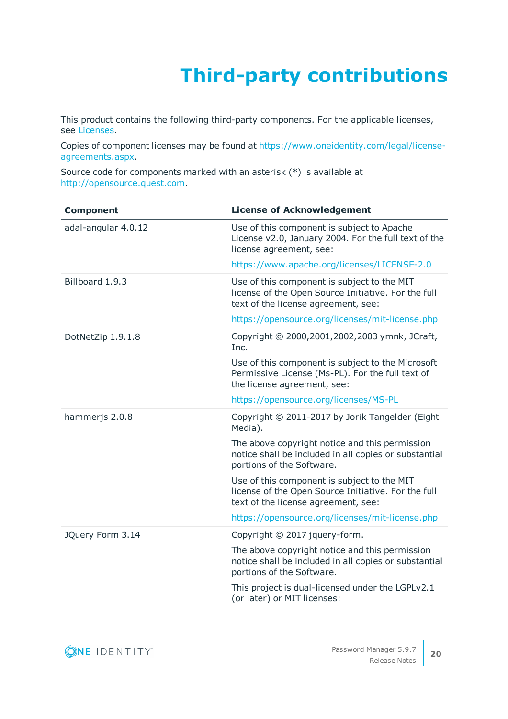# **Third-party contributions**

This product contains the following third-party components. For the applicable licenses, see [Licenses.](#page-24-0)

Copies of component licenses may be found at [https://www.oneidentity.com/legal/license](https://www.oneidentity.com/legal/license-agreements.aspx)[agreements.aspx.](https://www.oneidentity.com/legal/license-agreements.aspx)

Source code for components marked with an asterisk (\*) is available at [http://opensource.quest.com.](https://opensource.quest.com/)

| <b>Component</b>    | <b>License of Acknowledgement</b>                                                                                                         |
|---------------------|-------------------------------------------------------------------------------------------------------------------------------------------|
| adal-angular 4.0.12 | Use of this component is subject to Apache<br>License v2.0, January 2004. For the full text of the<br>license agreement, see:             |
|                     | https://www.apache.org/licenses/LICENSE-2.0                                                                                               |
| Billboard 1.9.3     | Use of this component is subject to the MIT<br>license of the Open Source Initiative. For the full<br>text of the license agreement, see: |
|                     | https://opensource.org/licenses/mit-license.php                                                                                           |
| DotNetZip 1.9.1.8   | Copyright © 2000,2001,2002,2003 ymnk, JCraft,<br>Inc.                                                                                     |
|                     | Use of this component is subject to the Microsoft<br>Permissive License (Ms-PL). For the full text of<br>the license agreement, see:      |
|                     | https://opensource.org/licenses/MS-PL                                                                                                     |
| hammerjs 2.0.8      | Copyright © 2011-2017 by Jorik Tangelder (Eight<br>Media).                                                                                |
|                     | The above copyright notice and this permission<br>notice shall be included in all copies or substantial<br>portions of the Software.      |
|                     | Use of this component is subject to the MIT<br>license of the Open Source Initiative. For the full<br>text of the license agreement, see: |
|                     | https://opensource.org/licenses/mit-license.php                                                                                           |
| JQuery Form 3.14    | Copyright © 2017 jquery-form.                                                                                                             |
|                     | The above copyright notice and this permission<br>notice shall be included in all copies or substantial<br>portions of the Software.      |
|                     | This project is dual-licensed under the LGPLv2.1<br>(or later) or MIT licenses:                                                           |

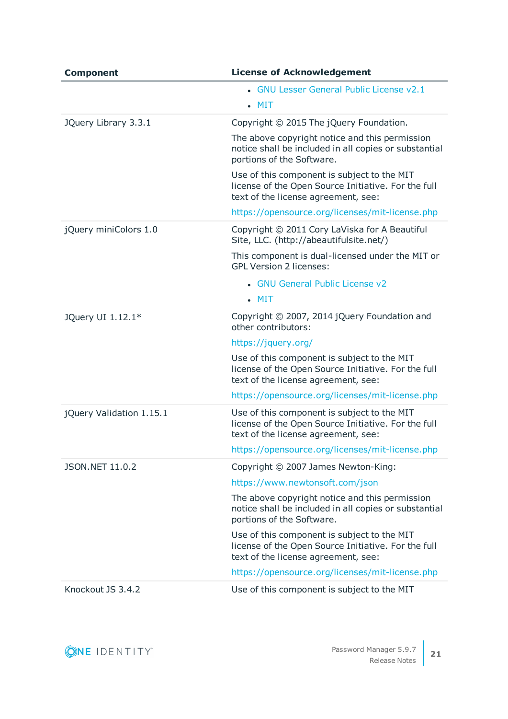| <b>Component</b>         | <b>License of Acknowledgement</b>                                                                                                         |
|--------------------------|-------------------------------------------------------------------------------------------------------------------------------------------|
|                          | • GNU Lesser General Public License v2.1<br>$\blacksquare$ MIT                                                                            |
| JQuery Library 3.3.1     | Copyright © 2015 The jQuery Foundation.                                                                                                   |
|                          | The above copyright notice and this permission<br>notice shall be included in all copies or substantial<br>portions of the Software.      |
|                          | Use of this component is subject to the MIT<br>license of the Open Source Initiative. For the full<br>text of the license agreement, see: |
|                          | https://opensource.org/licenses/mit-license.php                                                                                           |
| jQuery miniColors 1.0    | Copyright © 2011 Cory LaViska for A Beautiful<br>Site, LLC. (http://abeautifulsite.net/)                                                  |
|                          | This component is dual-licensed under the MIT or<br><b>GPL Version 2 licenses:</b>                                                        |
|                          | • GNU General Public License v2                                                                                                           |
|                          | $\blacksquare$ MIT                                                                                                                        |
| JQuery UI 1.12.1*        | Copyright © 2007, 2014 jQuery Foundation and<br>other contributors:                                                                       |
|                          | https://jquery.org/                                                                                                                       |
|                          | Use of this component is subject to the MIT<br>license of the Open Source Initiative. For the full<br>text of the license agreement, see: |
|                          | https://opensource.org/licenses/mit-license.php                                                                                           |
| jQuery Validation 1.15.1 | Use of this component is subject to the MIT<br>license of the Open Source Initiative. For the full<br>text of the license agreement, see: |
|                          | https://opensource.org/licenses/mit-license.php                                                                                           |
| JSON.NET 11.0.2          | Copyright © 2007 James Newton-King:                                                                                                       |
|                          | https://www.newtonsoft.com/json                                                                                                           |
|                          | The above copyright notice and this permission<br>notice shall be included in all copies or substantial<br>portions of the Software.      |
|                          | Use of this component is subject to the MIT<br>license of the Open Source Initiative. For the full<br>text of the license agreement, see: |
|                          | https://opensource.org/licenses/mit-license.php                                                                                           |
| Knockout JS 3.4.2        | Use of this component is subject to the MIT                                                                                               |

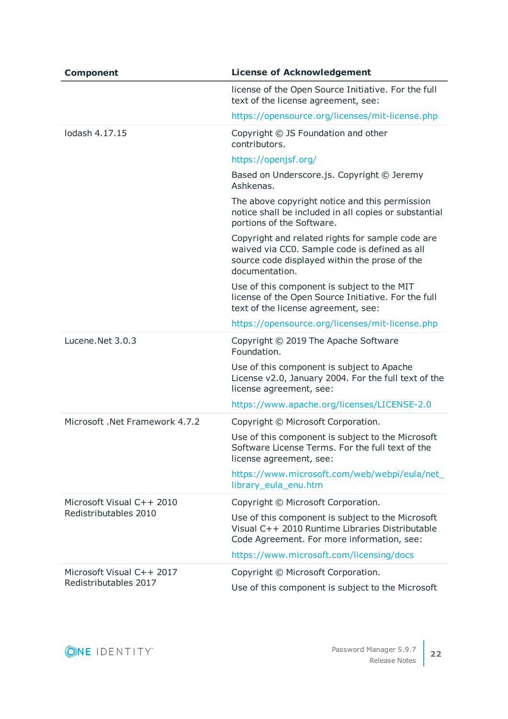| <b>Component</b>                                   | <b>License of Acknowledgement</b>                                                                                                                                    |
|----------------------------------------------------|----------------------------------------------------------------------------------------------------------------------------------------------------------------------|
|                                                    | license of the Open Source Initiative. For the full<br>text of the license agreement, see:                                                                           |
|                                                    | https://opensource.org/licenses/mit-license.php                                                                                                                      |
| lodash 4.17.15                                     | Copyright © JS Foundation and other<br>contributors.                                                                                                                 |
|                                                    | https://openjsf.org/                                                                                                                                                 |
|                                                    | Based on Underscore.js. Copyright © Jeremy<br>Ashkenas.                                                                                                              |
|                                                    | The above copyright notice and this permission<br>notice shall be included in all copies or substantial<br>portions of the Software.                                 |
|                                                    | Copyright and related rights for sample code are<br>waived via CC0. Sample code is defined as all<br>source code displayed within the prose of the<br>documentation. |
|                                                    | Use of this component is subject to the MIT<br>license of the Open Source Initiative. For the full<br>text of the license agreement, see:                            |
|                                                    | https://opensource.org/licenses/mit-license.php                                                                                                                      |
| Lucene.Net 3.0.3                                   | Copyright © 2019 The Apache Software<br>Foundation.                                                                                                                  |
|                                                    | Use of this component is subject to Apache<br>License v2.0, January 2004. For the full text of the<br>license agreement, see:                                        |
|                                                    | https://www.apache.org/licenses/LICENSE-2.0                                                                                                                          |
| Microsoft .Net Framework 4.7.2                     | Copyright © Microsoft Corporation.                                                                                                                                   |
|                                                    | Use of this component is subject to the Microsoft<br>Software License Terms. For the full text of the<br>license agreement, see:                                     |
|                                                    | https://www.microsoft.com/web/webpi/eula/net_<br>library_eula_enu.htm                                                                                                |
| Microsoft Visual C++ 2010<br>Redistributables 2010 | Copyright © Microsoft Corporation.                                                                                                                                   |
|                                                    | Use of this component is subject to the Microsoft<br>Visual C++ 2010 Runtime Libraries Distributable<br>Code Agreement. For more information, see:                   |
|                                                    | https://www.microsoft.com/licensing/docs                                                                                                                             |
| Microsoft Visual C++ 2017<br>Redistributables 2017 | Copyright © Microsoft Corporation.                                                                                                                                   |
|                                                    | Use of this component is subject to the Microsoft                                                                                                                    |

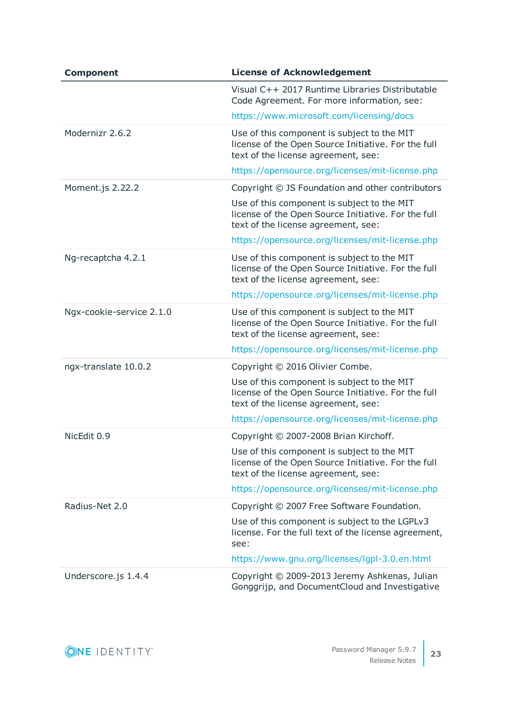| <b>Component</b>         | <b>License of Acknowledgement</b>                                                                                                         |
|--------------------------|-------------------------------------------------------------------------------------------------------------------------------------------|
|                          | Visual C++ 2017 Runtime Libraries Distributable<br>Code Agreement. For more information, see:                                             |
|                          | https://www.microsoft.com/licensing/docs                                                                                                  |
| Modernizr 2.6.2          | Use of this component is subject to the MIT<br>license of the Open Source Initiative. For the full<br>text of the license agreement, see: |
|                          | https://opensource.org/licenses/mit-license.php                                                                                           |
| Moment.js 2.22.2         | Copyright © JS Foundation and other contributors                                                                                          |
|                          | Use of this component is subject to the MIT<br>license of the Open Source Initiative. For the full<br>text of the license agreement, see: |
|                          | https://opensource.org/licenses/mit-license.php                                                                                           |
| Ng-recaptcha 4.2.1       | Use of this component is subject to the MIT<br>license of the Open Source Initiative. For the full<br>text of the license agreement, see: |
|                          | https://opensource.org/licenses/mit-license.php                                                                                           |
| Ngx-cookie-service 2.1.0 | Use of this component is subject to the MIT<br>license of the Open Source Initiative. For the full<br>text of the license agreement, see: |
|                          | https://opensource.org/licenses/mit-license.php                                                                                           |
| ngx-translate 10.0.2     | Copyright © 2016 Olivier Combe.                                                                                                           |
|                          | Use of this component is subject to the MIT<br>license of the Open Source Initiative. For the full<br>text of the license agreement, see: |
|                          | https://opensource.org/licenses/mit-license.php                                                                                           |
| NicEdit 0.9              | Copyright © 2007-2008 Brian Kirchoff.                                                                                                     |
|                          | Use of this component is subject to the MIT<br>license of the Open Source Initiative. For the full<br>text of the license agreement, see: |
|                          | https://opensource.org/licenses/mit-license.php                                                                                           |
| Radius-Net 2.0           | Copyright © 2007 Free Software Foundation.                                                                                                |
|                          | Use of this component is subject to the LGPLv3<br>license. For the full text of the license agreement,<br>see:                            |
|                          | https://www.gnu.org/licenses/lgpl-3.0.en.html                                                                                             |
| Underscore.js 1.4.4      | Copyright © 2009-2013 Jeremy Ashkenas, Julian<br>Gonggrijp, and DocumentCloud and Investigative                                           |

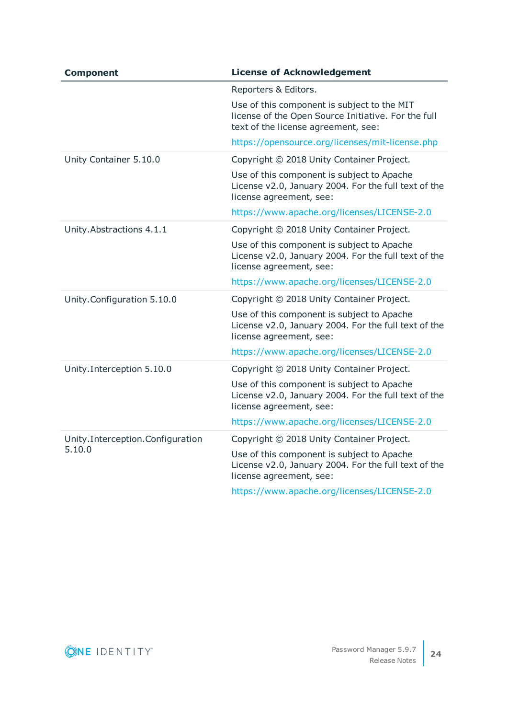| <b>Component</b>                           | <b>License of Acknowledgement</b>                                                                                                         |
|--------------------------------------------|-------------------------------------------------------------------------------------------------------------------------------------------|
|                                            | Reporters & Editors.                                                                                                                      |
|                                            | Use of this component is subject to the MIT<br>license of the Open Source Initiative. For the full<br>text of the license agreement, see: |
|                                            | https://opensource.org/licenses/mit-license.php                                                                                           |
| Unity Container 5.10.0                     | Copyright © 2018 Unity Container Project.                                                                                                 |
|                                            | Use of this component is subject to Apache<br>License v2.0, January 2004. For the full text of the<br>license agreement, see:             |
|                                            | https://www.apache.org/licenses/LICENSE-2.0                                                                                               |
| Unity. Abstractions 4.1.1                  | Copyright © 2018 Unity Container Project.                                                                                                 |
|                                            | Use of this component is subject to Apache<br>License v2.0, January 2004. For the full text of the<br>license agreement, see:             |
|                                            | https://www.apache.org/licenses/LICENSE-2.0                                                                                               |
| Unity.Configuration 5.10.0                 | Copyright © 2018 Unity Container Project.                                                                                                 |
|                                            | Use of this component is subject to Apache<br>License v2.0, January 2004. For the full text of the<br>license agreement, see:             |
|                                            | https://www.apache.org/licenses/LICENSE-2.0                                                                                               |
| Unity.Interception 5.10.0                  | Copyright © 2018 Unity Container Project.                                                                                                 |
|                                            | Use of this component is subject to Apache<br>License v2.0, January 2004. For the full text of the<br>license agreement, see:             |
|                                            | https://www.apache.org/licenses/LICENSE-2.0                                                                                               |
| Unity.Interception.Configuration<br>5.10.0 | Copyright © 2018 Unity Container Project.                                                                                                 |
|                                            | Use of this component is subject to Apache<br>License v2.0, January 2004. For the full text of the<br>license agreement, see:             |
|                                            | https://www.apache.org/licenses/LICENSE-2.0                                                                                               |

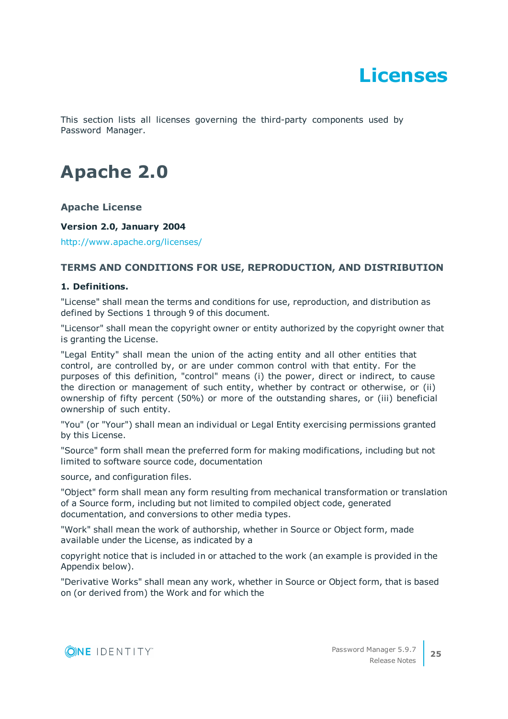# **Licenses**

<span id="page-24-0"></span>This section lists all licenses governing the third-party components used by Password Manager.

# **Apache 2.0**

## **Apache License**

### **Version 2.0, January 2004**

<http://www.apache.org/licenses/>

## **TERMS AND CONDITIONS FOR USE, REPRODUCTION, AND DISTRIBUTION**

#### **1. Definitions.**

"License" shall mean the terms and conditions for use, reproduction, and distribution as defined by Sections 1 through 9 of this document.

"Licensor" shall mean the copyright owner or entity authorized by the copyright owner that is granting the License.

"Legal Entity" shall mean the union of the acting entity and all other entities that control, are controlled by, or are under common control with that entity. For the purposes of this definition, "control" means (i) the power, direct or indirect, to cause the direction or management of such entity, whether by contract or otherwise, or (ii) ownership of fifty percent (50%) or more of the outstanding shares, or (iii) beneficial ownership of such entity.

"You" (or "Your") shall mean an individual or Legal Entity exercising permissions granted by this License.

"Source" form shall mean the preferred form for making modifications, including but not limited to software source code, documentation

source, and configuration files.

"Object" form shall mean any form resulting from mechanical transformation or translation of a Source form, including but not limited to compiled object code, generated documentation, and conversions to other media types.

"Work" shall mean the work of authorship, whether in Source or Object form, made available under the License, as indicated by a

copyright notice that is included in or attached to the work (an example is provided in the Appendix below).

"Derivative Works" shall mean any work, whether in Source or Object form, that is based on (or derived from) the Work and for which the

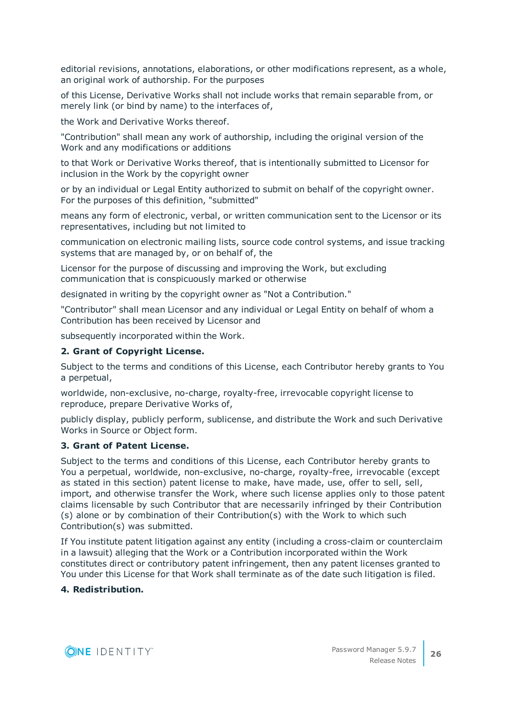editorial revisions, annotations, elaborations, or other modifications represent, as a whole, an original work of authorship. For the purposes

of this License, Derivative Works shall not include works that remain separable from, or merely link (or bind by name) to the interfaces of,

the Work and Derivative Works thereof.

"Contribution" shall mean any work of authorship, including the original version of the Work and any modifications or additions

to that Work or Derivative Works thereof, that is intentionally submitted to Licensor for inclusion in the Work by the copyright owner

or by an individual or Legal Entity authorized to submit on behalf of the copyright owner. For the purposes of this definition, "submitted"

means any form of electronic, verbal, or written communication sent to the Licensor or its representatives, including but not limited to

communication on electronic mailing lists, source code control systems, and issue tracking systems that are managed by, or on behalf of, the

Licensor for the purpose of discussing and improving the Work, but excluding communication that is conspicuously marked or otherwise

designated in writing by the copyright owner as "Not a Contribution."

"Contributor" shall mean Licensor and any individual or Legal Entity on behalf of whom a Contribution has been received by Licensor and

subsequently incorporated within the Work.

#### **2. Grant of Copyright License.**

Subject to the terms and conditions of this License, each Contributor hereby grants to You a perpetual,

worldwide, non-exclusive, no-charge, royalty-free, irrevocable copyright license to reproduce, prepare Derivative Works of,

publicly display, publicly perform, sublicense, and distribute the Work and such Derivative Works in Source or Object form.

#### **3. Grant of Patent License.**

Subject to the terms and conditions of this License, each Contributor hereby grants to You a perpetual, worldwide, non-exclusive, no-charge, royalty-free, irrevocable (except as stated in this section) patent license to make, have made, use, offer to sell, sell, import, and otherwise transfer the Work, where such license applies only to those patent claims licensable by such Contributor that are necessarily infringed by their Contribution (s) alone or by combination of their Contribution(s) with the Work to which such Contribution(s) was submitted.

If You institute patent litigation against any entity (including a cross-claim or counterclaim in a lawsuit) alleging that the Work or a Contribution incorporated within the Work constitutes direct or contributory patent infringement, then any patent licenses granted to You under this License for that Work shall terminate as of the date such litigation is filed.

#### **4. Redistribution.**

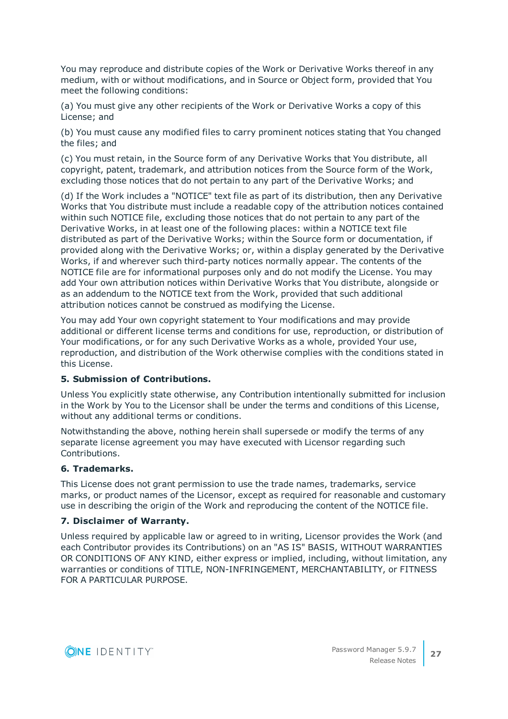You may reproduce and distribute copies of the Work or Derivative Works thereof in any medium, with or without modifications, and in Source or Object form, provided that You meet the following conditions:

(a) You must give any other recipients of the Work or Derivative Works a copy of this License; and

(b) You must cause any modified files to carry prominent notices stating that You changed the files; and

(c) You must retain, in the Source form of any Derivative Works that You distribute, all copyright, patent, trademark, and attribution notices from the Source form of the Work, excluding those notices that do not pertain to any part of the Derivative Works; and

(d) If the Work includes a "NOTICE" text file as part of its distribution, then any Derivative Works that You distribute must include a readable copy of the attribution notices contained within such NOTICE file, excluding those notices that do not pertain to any part of the Derivative Works, in at least one of the following places: within a NOTICE text file distributed as part of the Derivative Works; within the Source form or documentation, if provided along with the Derivative Works; or, within a display generated by the Derivative Works, if and wherever such third-party notices normally appear. The contents of the NOTICE file are for informational purposes only and do not modify the License. You may add Your own attribution notices within Derivative Works that You distribute, alongside or as an addendum to the NOTICE text from the Work, provided that such additional attribution notices cannot be construed as modifying the License.

You may add Your own copyright statement to Your modifications and may provide additional or different license terms and conditions for use, reproduction, or distribution of Your modifications, or for any such Derivative Works as a whole, provided Your use, reproduction, and distribution of the Work otherwise complies with the conditions stated in this License.

#### **5. Submission of Contributions.**

Unless You explicitly state otherwise, any Contribution intentionally submitted for inclusion in the Work by You to the Licensor shall be under the terms and conditions of this License, without any additional terms or conditions.

Notwithstanding the above, nothing herein shall supersede or modify the terms of any separate license agreement you may have executed with Licensor regarding such Contributions.

#### **6. Trademarks.**

This License does not grant permission to use the trade names, trademarks, service marks, or product names of the Licensor, except as required for reasonable and customary use in describing the origin of the Work and reproducing the content of the NOTICE file.

#### **7. Disclaimer of Warranty.**

Unless required by applicable law or agreed to in writing, Licensor provides the Work (and each Contributor provides its Contributions) on an "AS IS" BASIS, WITHOUT WARRANTIES OR CONDITIONS OF ANY KIND, either express or implied, including, without limitation, any warranties or conditions of TITLE, NON-INFRINGEMENT, MERCHANTABILITY, or FITNESS FOR A PARTICULAR PURPOSE.

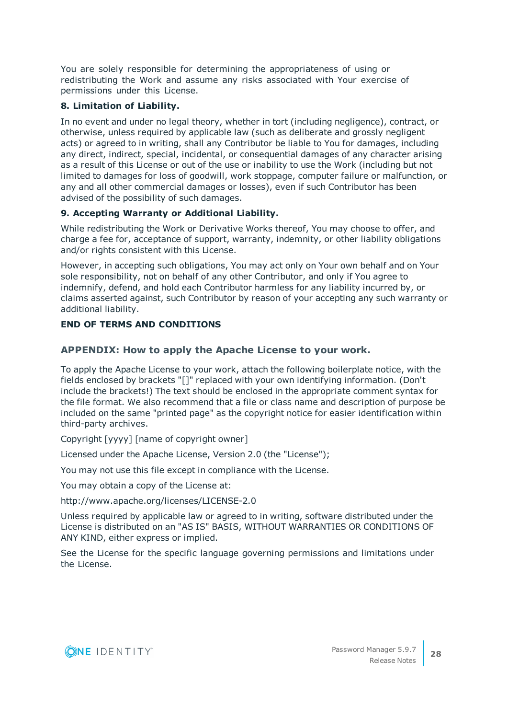You are solely responsible for determining the appropriateness of using or redistributing the Work and assume any risks associated with Your exercise of permissions under this License.

# **8. Limitation of Liability.**

In no event and under no legal theory, whether in tort (including negligence), contract, or otherwise, unless required by applicable law (such as deliberate and grossly negligent acts) or agreed to in writing, shall any Contributor be liable to You for damages, including any direct, indirect, special, incidental, or consequential damages of any character arising as a result of this License or out of the use or inability to use the Work (including but not limited to damages for loss of goodwill, work stoppage, computer failure or malfunction, or any and all other commercial damages or losses), even if such Contributor has been advised of the possibility of such damages.

# **9. Accepting Warranty or Additional Liability.**

While redistributing the Work or Derivative Works thereof, You may choose to offer, and charge a fee for, acceptance of support, warranty, indemnity, or other liability obligations and/or rights consistent with this License.

However, in accepting such obligations, You may act only on Your own behalf and on Your sole responsibility, not on behalf of any other Contributor, and only if You agree to indemnify, defend, and hold each Contributor harmless for any liability incurred by, or claims asserted against, such Contributor by reason of your accepting any such warranty or additional liability.

# **END OF TERMS AND CONDITIONS**

# **APPENDIX: How to apply the Apache License to your work.**

To apply the Apache License to your work, attach the following boilerplate notice, with the fields enclosed by brackets "[]" replaced with your own identifying information. (Don't include the brackets!) The text should be enclosed in the appropriate comment syntax for the file format. We also recommend that a file or class name and description of purpose be included on the same "printed page" as the copyright notice for easier identification within third-party archives.

Copyright [yyyy] [name of copyright owner]

Licensed under the Apache License, Version 2.0 (the "License");

You may not use this file except in compliance with the License.

You may obtain a copy of the License at:

http://www.apache.org/licenses/LICENSE-2.0

Unless required by applicable law or agreed to in writing, software distributed under the License is distributed on an "AS IS" BASIS, WITHOUT WARRANTIES OR CONDITIONS OF ANY KIND, either express or implied.

See the License for the specific language governing permissions and limitations under the License.

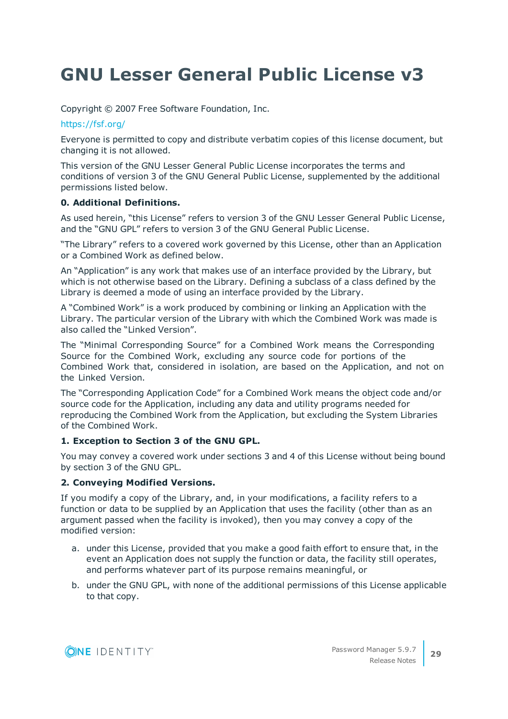# **GNU Lesser General Public License v3**

Copyright © 2007 Free Software Foundation, Inc.

## <https://fsf.org/>

Everyone is permitted to copy and distribute verbatim copies of this license document, but changing it is not allowed.

This version of the GNU Lesser General Public License incorporates the terms and conditions of version 3 of the GNU General Public License, supplemented by the additional permissions listed below.

## **0. Additional Definitions.**

As used herein, "this License" refers to version 3 of the GNU Lesser General Public License, and the "GNU GPL" refers to version 3 of the GNU General Public License.

"The Library" refers to a covered work governed by this License, other than an Application or a Combined Work as defined below.

An "Application" is any work that makes use of an interface provided by the Library, but which is not otherwise based on the Library. Defining a subclass of a class defined by the Library is deemed a mode of using an interface provided by the Library.

A "Combined Work" is a work produced by combining or linking an Application with the Library. The particular version of the Library with which the Combined Work was made is also called the "Linked Version".

The "Minimal Corresponding Source" for a Combined Work means the Corresponding Source for the Combined Work, excluding any source code for portions of the Combined Work that, considered in isolation, are based on the Application, and not on the Linked Version.

The "Corresponding Application Code" for a Combined Work means the object code and/or source code for the Application, including any data and utility programs needed for reproducing the Combined Work from the Application, but excluding the System Libraries of the Combined Work.

## **1. Exception to Section 3 of the GNU GPL.**

You may convey a covered work under sections 3 and 4 of this License without being bound by section 3 of the GNU GPL.

## **2. Conveying Modified Versions.**

If you modify a copy of the Library, and, in your modifications, a facility refers to a function or data to be supplied by an Application that uses the facility (other than as an argument passed when the facility is invoked), then you may convey a copy of the modified version:

- a. under this License, provided that you make a good faith effort to ensure that, in the event an Application does not supply the function or data, the facility still operates, and performs whatever part of its purpose remains meaningful, or
- b. under the GNU GPL, with none of the additional permissions of this License applicable to that copy.

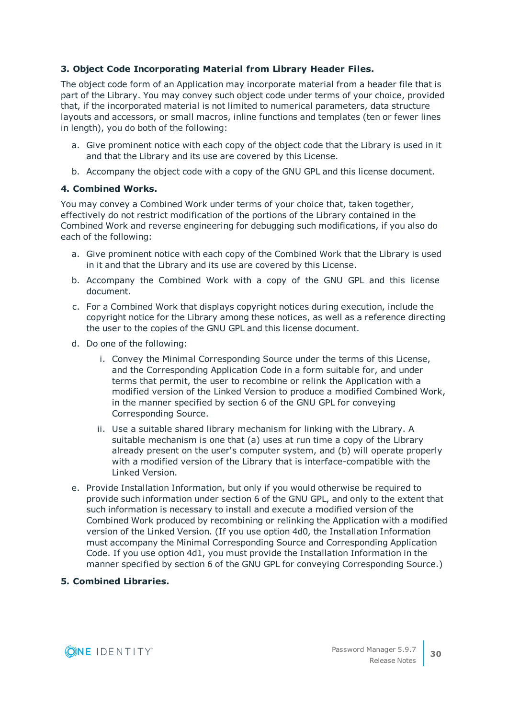## **3. Object Code Incorporating Material from Library Header Files.**

The object code form of an Application may incorporate material from a header file that is part of the Library. You may convey such object code under terms of your choice, provided that, if the incorporated material is not limited to numerical parameters, data structure layouts and accessors, or small macros, inline functions and templates (ten or fewer lines in length), you do both of the following:

- a. Give prominent notice with each copy of the object code that the Library is used in it and that the Library and its use are covered by this License.
- b. Accompany the object code with a copy of the GNU GPL and this license document.

## **4. Combined Works.**

You may convey a Combined Work under terms of your choice that, taken together, effectively do not restrict modification of the portions of the Library contained in the Combined Work and reverse engineering for debugging such modifications, if you also do each of the following:

- a. Give prominent notice with each copy of the Combined Work that the Library is used in it and that the Library and its use are covered by this License.
- b. Accompany the Combined Work with a copy of the GNU GPL and this license document.
- c. For a Combined Work that displays copyright notices during execution, include the copyright notice for the Library among these notices, as well as a reference directing the user to the copies of the GNU GPL and this license document.
- d. Do one of the following:
	- i. Convey the Minimal Corresponding Source under the terms of this License, and the Corresponding Application Code in a form suitable for, and under terms that permit, the user to recombine or relink the Application with a modified version of the Linked Version to produce a modified Combined Work, in the manner specified by section 6 of the GNU GPL for conveying Corresponding Source.
	- ii. Use a suitable shared library mechanism for linking with the Library. A suitable mechanism is one that (a) uses at run time a copy of the Library already present on the user's computer system, and (b) will operate properly with a modified version of the Library that is interface-compatible with the Linked Version.
- e. Provide Installation Information, but only if you would otherwise be required to provide such information under section 6 of the GNU GPL, and only to the extent that such information is necessary to install and execute a modified version of the Combined Work produced by recombining or relinking the Application with a modified version of the Linked Version. (If you use option 4d0, the Installation Information must accompany the Minimal Corresponding Source and Corresponding Application Code. If you use option 4d1, you must provide the Installation Information in the manner specified by section 6 of the GNU GPL for conveying Corresponding Source.)

## **5. Combined Libraries.**

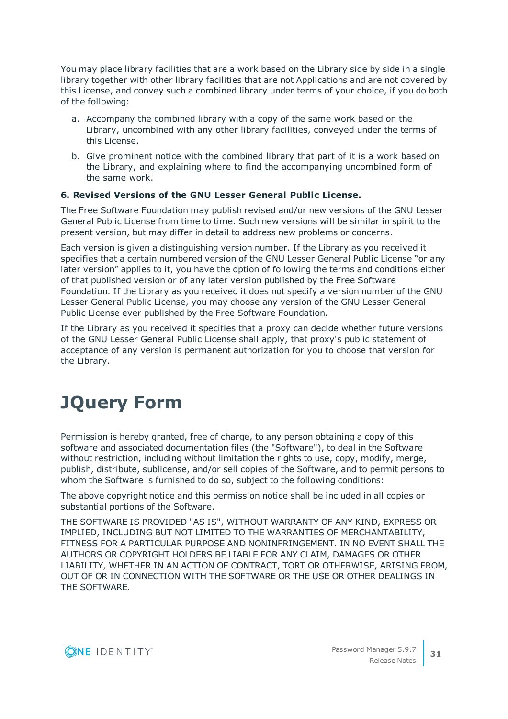You may place library facilities that are a work based on the Library side by side in a single library together with other library facilities that are not Applications and are not covered by this License, and convey such a combined library under terms of your choice, if you do both of the following:

- a. Accompany the combined library with a copy of the same work based on the Library, uncombined with any other library facilities, conveyed under the terms of this License.
- b. Give prominent notice with the combined library that part of it is a work based on the Library, and explaining where to find the accompanying uncombined form of the same work.

## **6. Revised Versions of the GNU Lesser General Public License.**

The Free Software Foundation may publish revised and/or new versions of the GNU Lesser General Public License from time to time. Such new versions will be similar in spirit to the present version, but may differ in detail to address new problems or concerns.

Each version is given a distinguishing version number. If the Library as you received it specifies that a certain numbered version of the GNU Lesser General Public License "or any later version" applies to it, you have the option of following the terms and conditions either of that published version or of any later version published by the Free Software Foundation. If the Library as you received it does not specify a version number of the GNU Lesser General Public License, you may choose any version of the GNU Lesser General Public License ever published by the Free Software Foundation.

If the Library as you received it specifies that a proxy can decide whether future versions of the GNU Lesser General Public License shall apply, that proxy's public statement of acceptance of any version is permanent authorization for you to choose that version for the Library.

# **JQuery Form**

Permission is hereby granted, free of charge, to any person obtaining a copy of this software and associated documentation files (the "Software"), to deal in the Software without restriction, including without limitation the rights to use, copy, modify, merge, publish, distribute, sublicense, and/or sell copies of the Software, and to permit persons to whom the Software is furnished to do so, subject to the following conditions:

The above copyright notice and this permission notice shall be included in all copies or substantial portions of the Software.

THE SOFTWARE IS PROVIDED "AS IS", WITHOUT WARRANTY OF ANY KIND, EXPRESS OR IMPLIED, INCLUDING BUT NOT LIMITED TO THE WARRANTIES OF MERCHANTABILITY, FITNESS FOR A PARTICULAR PURPOSE AND NONINFRINGEMENT. IN NO EVENT SHALL THE AUTHORS OR COPYRIGHT HOLDERS BE LIABLE FOR ANY CLAIM, DAMAGES OR OTHER LIABILITY, WHETHER IN AN ACTION OF CONTRACT, TORT OR OTHERWISE, ARISING FROM, OUT OF OR IN CONNECTION WITH THE SOFTWARE OR THE USE OR OTHER DEALINGS IN THE SOFTWARE.

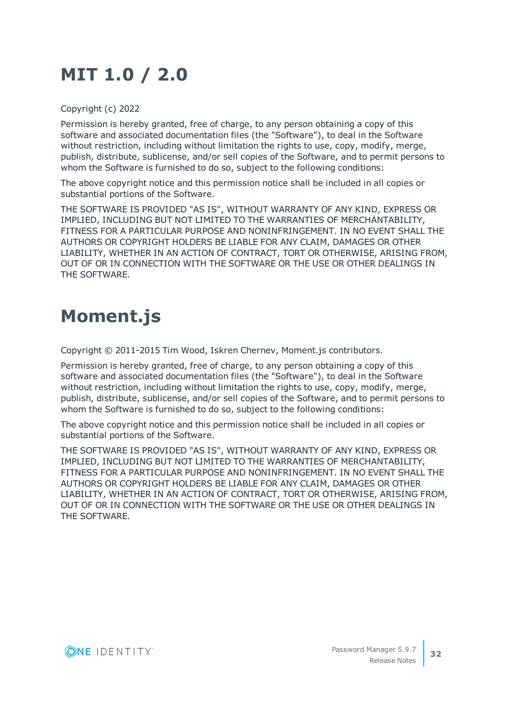# **MIT 1.0 / 2.0**

Copyright (c) 2022

Permission is hereby granted, free of charge, to any person obtaining a copy of this software and associated documentation files (the "Software"), to deal in the Software without restriction, including without limitation the rights to use, copy, modify, merge, publish, distribute, sublicense, and/or sell copies of the Software, and to permit persons to whom the Software is furnished to do so, subject to the following conditions:

The above copyright notice and this permission notice shall be included in all copies or substantial portions of the Software.

THE SOFTWARE IS PROVIDED "AS IS", WITHOUT WARRANTY OF ANY KIND, EXPRESS OR IMPLIED, INCLUDING BUT NOT LIMITED TO THE WARRANTIES OF MERCHANTABILITY, FITNESS FOR A PARTICULAR PURPOSE AND NONINFRINGEMENT. IN NO EVENT SHALL THE AUTHORS OR COPYRIGHT HOLDERS BE LIABLE FOR ANY CLAIM, DAMAGES OR OTHER LIABILITY, WHETHER IN AN ACTION OF CONTRACT, TORT OR OTHERWISE, ARISING FROM, OUT OF OR IN CONNECTION WITH THE SOFTWARE OR THE USE OR OTHER DEALINGS IN THE SOFTWARE.

# **Moment.js**

Copyright © 2011-2015 Tim Wood, Iskren Chernev, Moment.js contributors.

Permission is hereby granted, free of charge, to any person obtaining a copy of this software and associated documentation files (the "Software"), to deal in the Software without restriction, including without limitation the rights to use, copy, modify, merge, publish, distribute, sublicense, and/or sell copies of the Software, and to permit persons to whom the Software is furnished to do so, subject to the following conditions:

The above copyright notice and this permission notice shall be included in all copies or substantial portions of the Software.

THE SOFTWARE IS PROVIDED "AS IS", WITHOUT WARRANTY OF ANY KIND, EXPRESS OR IMPLIED, INCLUDING BUT NOT LIMITED TO THE WARRANTIES OF MERCHANTABILITY, FITNESS FOR A PARTICULAR PURPOSE AND NONINFRINGEMENT. IN NO EVENT SHALL THE AUTHORS OR COPYRIGHT HOLDERS BE LIABLE FOR ANY CLAIM, DAMAGES OR OTHER LIABILITY, WHETHER IN AN ACTION OF CONTRACT, TORT OR OTHERWISE, ARISING FROM, OUT OF OR IN CONNECTION WITH THE SOFTWARE OR THE USE OR OTHER DEALINGS IN THE SOFTWARE.

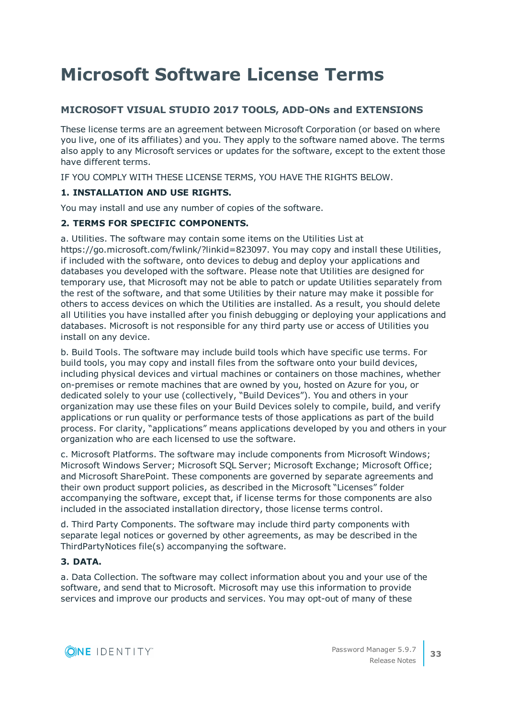# **Microsoft Software License Terms**

# **MICROSOFT VISUAL STUDIO 2017 TOOLS, ADD-ONs and EXTENSIONS**

These license terms are an agreement between Microsoft Corporation (or based on where you live, one of its affiliates) and you. They apply to the software named above. The terms also apply to any Microsoft services or updates for the software, except to the extent those have different terms.

IF YOU COMPLY WITH THESE LICENSE TERMS, YOU HAVE THE RIGHTS BELOW.

## **1. INSTALLATION AND USE RIGHTS.**

You may install and use any number of copies of the software.

## **2. TERMS FOR SPECIFIC COMPONENTS.**

a. Utilities. The software may contain some items on the Utilities List at https://go.microsoft.com/fwlink/?linkid=823097. You may copy and install these Utilities, if included with the software, onto devices to debug and deploy your applications and databases you developed with the software. Please note that Utilities are designed for temporary use, that Microsoft may not be able to patch or update Utilities separately from the rest of the software, and that some Utilities by their nature may make it possible for others to access devices on which the Utilities are installed. As a result, you should delete all Utilities you have installed after you finish debugging or deploying your applications and databases. Microsoft is not responsible for any third party use or access of Utilities you install on any device.

b. Build Tools. The software may include build tools which have specific use terms. For build tools, you may copy and install files from the software onto your build devices, including physical devices and virtual machines or containers on those machines, whether on-premises or remote machines that are owned by you, hosted on Azure for you, or dedicated solely to your use (collectively, "Build Devices"). You and others in your organization may use these files on your Build Devices solely to compile, build, and verify applications or run quality or performance tests of those applications as part of the build process. For clarity, "applications" means applications developed by you and others in your organization who are each licensed to use the software.

c. Microsoft Platforms. The software may include components from Microsoft Windows; Microsoft Windows Server; Microsoft SQL Server; Microsoft Exchange; Microsoft Office; and Microsoft SharePoint. These components are governed by separate agreements and their own product support policies, as described in the Microsoft "Licenses" folder accompanying the software, except that, if license terms for those components are also included in the associated installation directory, those license terms control.

d. Third Party Components. The software may include third party components with separate legal notices or governed by other agreements, as may be described in the ThirdPartyNotices file(s) accompanying the software.

## **3. DATA.**

a. Data Collection. The software may collect information about you and your use of the software, and send that to Microsoft. Microsoft may use this information to provide services and improve our products and services. You may opt-out of many of these

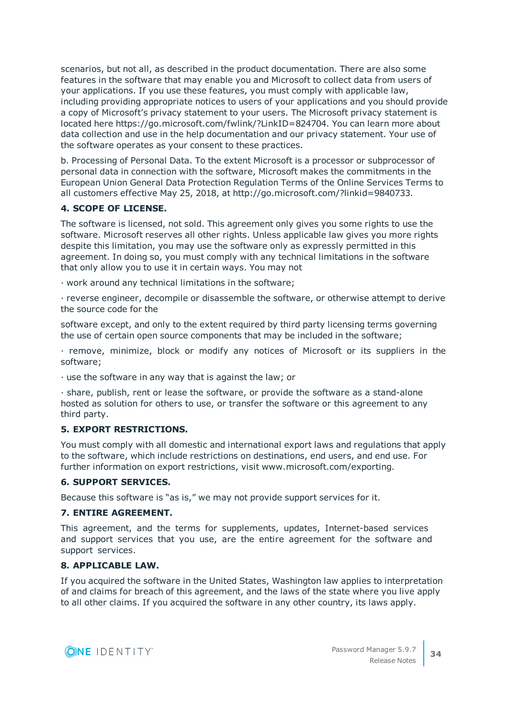scenarios, but not all, as described in the product documentation. There are also some features in the software that may enable you and Microsoft to collect data from users of your applications. If you use these features, you must comply with applicable law, including providing appropriate notices to users of your applications and you should provide a copy of Microsoft's privacy statement to your users. The Microsoft privacy statement is located here https://go.microsoft.com/fwlink/?LinkID=824704. You can learn more about data collection and use in the help documentation and our privacy statement. Your use of the software operates as your consent to these practices.

b. Processing of Personal Data. To the extent Microsoft is a processor or subprocessor of personal data in connection with the software, Microsoft makes the commitments in the European Union General Data Protection Regulation Terms of the Online Services Terms to all customers effective May 25, 2018, at http://go.microsoft.com/?linkid=9840733.

# **4. SCOPE OF LICENSE.**

The software is licensed, not sold. This agreement only gives you some rights to use the software. Microsoft reserves all other rights. Unless applicable law gives you more rights despite this limitation, you may use the software only as expressly permitted in this agreement. In doing so, you must comply with any technical limitations in the software that only allow you to use it in certain ways. You may not

· work around any technical limitations in the software;

· reverse engineer, decompile or disassemble the software, or otherwise attempt to derive the source code for the

software except, and only to the extent required by third party licensing terms governing the use of certain open source components that may be included in the software;

· remove, minimize, block or modify any notices of Microsoft or its suppliers in the software;

· use the software in any way that is against the law; or

· share, publish, rent or lease the software, or provide the software as a stand-alone hosted as solution for others to use, or transfer the software or this agreement to any third party.

## **5. EXPORT RESTRICTIONS.**

You must comply with all domestic and international export laws and regulations that apply to the software, which include restrictions on destinations, end users, and end use. For further information on export restrictions, visit www.microsoft.com/exporting.

## **6. SUPPORT SERVICES.**

Because this software is "as is," we may not provide support services for it.

## **7. ENTIRE AGREEMENT.**

This agreement, and the terms for supplements, updates, Internet-based services and support services that you use, are the entire agreement for the software and support services.

#### **8. APPLICABLE LAW.**

If you acquired the software in the United States, Washington law applies to interpretation of and claims for breach of this agreement, and the laws of the state where you live apply to all other claims. If you acquired the software in any other country, its laws apply.

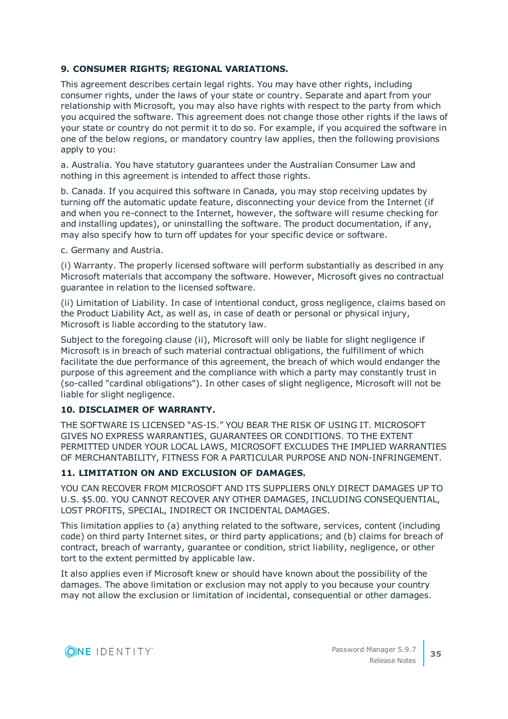## **9. CONSUMER RIGHTS; REGIONAL VARIATIONS.**

This agreement describes certain legal rights. You may have other rights, including consumer rights, under the laws of your state or country. Separate and apart from your relationship with Microsoft, you may also have rights with respect to the party from which you acquired the software. This agreement does not change those other rights if the laws of your state or country do not permit it to do so. For example, if you acquired the software in one of the below regions, or mandatory country law applies, then the following provisions apply to you:

a. Australia. You have statutory guarantees under the Australian Consumer Law and nothing in this agreement is intended to affect those rights.

b. Canada. If you acquired this software in Canada, you may stop receiving updates by turning off the automatic update feature, disconnecting your device from the Internet (if and when you re-connect to the Internet, however, the software will resume checking for and installing updates), or uninstalling the software. The product documentation, if any, may also specify how to turn off updates for your specific device or software.

c. Germany and Austria.

(i) Warranty. The properly licensed software will perform substantially as described in any Microsoft materials that accompany the software. However, Microsoft gives no contractual guarantee in relation to the licensed software.

(ii) Limitation of Liability. In case of intentional conduct, gross negligence, claims based on the Product Liability Act, as well as, in case of death or personal or physical injury, Microsoft is liable according to the statutory law.

Subject to the foregoing clause (ii), Microsoft will only be liable for slight negligence if Microsoft is in breach of such material contractual obligations, the fulfillment of which facilitate the due performance of this agreement, the breach of which would endanger the purpose of this agreement and the compliance with which a party may constantly trust in (so-called "cardinal obligations"). In other cases of slight negligence, Microsoft will not be liable for slight negligence.

#### **10. DISCLAIMER OF WARRANTY.**

THE SOFTWARE IS LICENSED "AS-IS." YOU BEAR THE RISK OF USING IT. MICROSOFT GIVES NO EXPRESS WARRANTIES, GUARANTEES OR CONDITIONS. TO THE EXTENT PERMITTED UNDER YOUR LOCAL LAWS, MICROSOFT EXCLUDES THE IMPLIED WARRANTIES OF MERCHANTABILITY, FITNESS FOR A PARTICULAR PURPOSE AND NON-INFRINGEMENT.

#### **11. LIMITATION ON AND EXCLUSION OF DAMAGES.**

YOU CAN RECOVER FROM MICROSOFT AND ITS SUPPLIERS ONLY DIRECT DAMAGES UP TO U.S. \$5.00. YOU CANNOT RECOVER ANY OTHER DAMAGES, INCLUDING CONSEQUENTIAL, LOST PROFITS, SPECIAL, INDIRECT OR INCIDENTAL DAMAGES.

This limitation applies to (a) anything related to the software, services, content (including code) on third party Internet sites, or third party applications; and (b) claims for breach of contract, breach of warranty, guarantee or condition, strict liability, negligence, or other tort to the extent permitted by applicable law.

It also applies even if Microsoft knew or should have known about the possibility of the damages. The above limitation or exclusion may not apply to you because your country may not allow the exclusion or limitation of incidental, consequential or other damages.

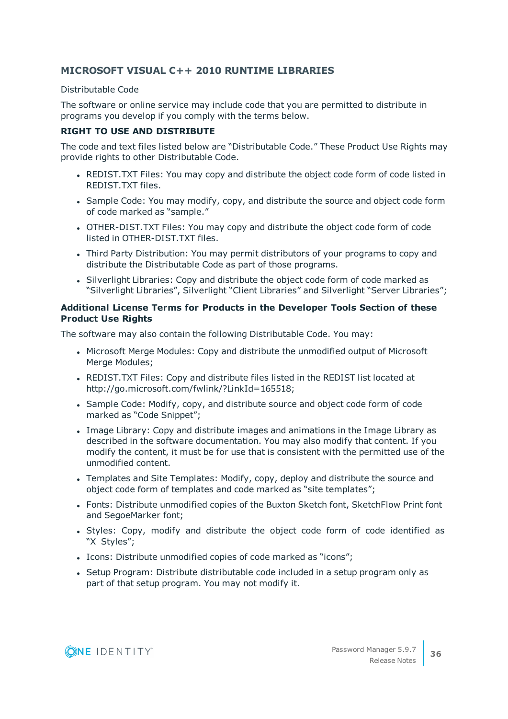# **MICROSOFT VISUAL C++ 2010 RUNTIME LIBRARIES**

### Distributable Code

The software or online service may include code that you are permitted to distribute in programs you develop if you comply with the terms below.

## **RIGHT TO USE AND DISTRIBUTE**

The code and text files listed below are "Distributable Code." These Product Use Rights may provide rights to other Distributable Code.

- REDIST.TXT Files: You may copy and distribute the object code form of code listed in REDIST.TXT files.
- Sample Code: You may modify, copy, and distribute the source and object code form of code marked as "sample."
- OTHER-DIST.TXT Files: You may copy and distribute the object code form of code listed in OTHER-DIST.TXT files.
- Third Party Distribution: You may permit distributors of your programs to copy and distribute the Distributable Code as part of those programs.
- Silverlight Libraries: Copy and distribute the object code form of code marked as "Silverlight Libraries", Silverlight "Client Libraries" and Silverlight "Server Libraries";

## **Additional License Terms for Products in the Developer Tools Section of these Product Use Rights**

The software may also contain the following Distributable Code. You may:

- Microsoft Merge Modules: Copy and distribute the unmodified output of Microsoft Merge Modules;
- REDIST.TXT Files: Copy and distribute files listed in the REDIST list located at http://go.microsoft.com/fwlink/?LinkId=165518;
- Sample Code: Modify, copy, and distribute source and object code form of code marked as "Code Snippet";
- <sup>l</sup> Image Library: Copy and distribute images and animations in the Image Library as described in the software documentation. You may also modify that content. If you modify the content, it must be for use that is consistent with the permitted use of the unmodified content.
- Templates and Site Templates: Modify, copy, deploy and distribute the source and object code form of templates and code marked as "site templates";
- Fonts: Distribute unmodified copies of the Buxton Sketch font, SketchFlow Print font and SegoeMarker font;
- Styles: Copy, modify and distribute the object code form of code identified as "X Styles";
- Icons: Distribute unmodified copies of code marked as "icons";
- Setup Program: Distribute distributable code included in a setup program only as part of that setup program. You may not modify it.

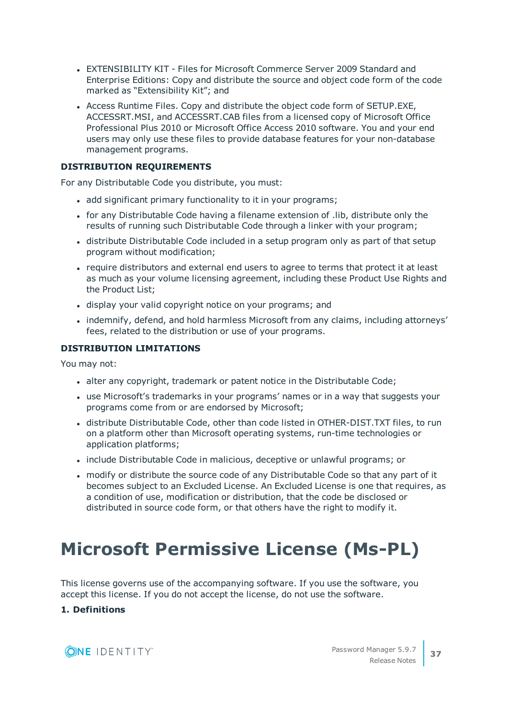- EXTENSIBILITY KIT Files for Microsoft Commerce Server 2009 Standard and Enterprise Editions: Copy and distribute the source and object code form of the code marked as "Extensibility Kit"; and
- Access Runtime Files. Copy and distribute the object code form of SETUP.EXE, ACCESSRT.MSI, and ACCESSRT.CAB files from a licensed copy of Microsoft Office Professional Plus 2010 or Microsoft Office Access 2010 software. You and your end users may only use these files to provide database features for your non-database management programs.

### **DISTRIBUTION REQUIREMENTS**

For any Distributable Code you distribute, you must:

- . add significant primary functionality to it in your programs;
- for any Distributable Code having a filename extension of .lib, distribute only the results of running such Distributable Code through a linker with your program;
- distribute Distributable Code included in a setup program only as part of that setup program without modification;
- require distributors and external end users to agree to terms that protect it at least as much as your volume licensing agreement, including these Product Use Rights and the Product List;
- display your valid copyright notice on your programs; and
- indemnify, defend, and hold harmless Microsoft from any claims, including attorneys' fees, related to the distribution or use of your programs.

#### **DISTRIBUTION LIMITATIONS**

You may not:

- alter any copyright, trademark or patent notice in the Distributable Code;
- use Microsoft's trademarks in your programs' names or in a way that suggests your programs come from or are endorsed by Microsoft;
- distribute Distributable Code, other than code listed in OTHER-DIST.TXT files, to run on a platform other than Microsoft operating systems, run-time technologies or application platforms;
- include Distributable Code in malicious, deceptive or unlawful programs; or
- modify or distribute the source code of any Distributable Code so that any part of it becomes subject to an Excluded License. An Excluded License is one that requires, as a condition of use, modification or distribution, that the code be disclosed or distributed in source code form, or that others have the right to modify it.

# **Microsoft Permissive License (Ms-PL)**

This license governs use of the accompanying software. If you use the software, you accept this license. If you do not accept the license, do not use the software.

### **1. Definitions**